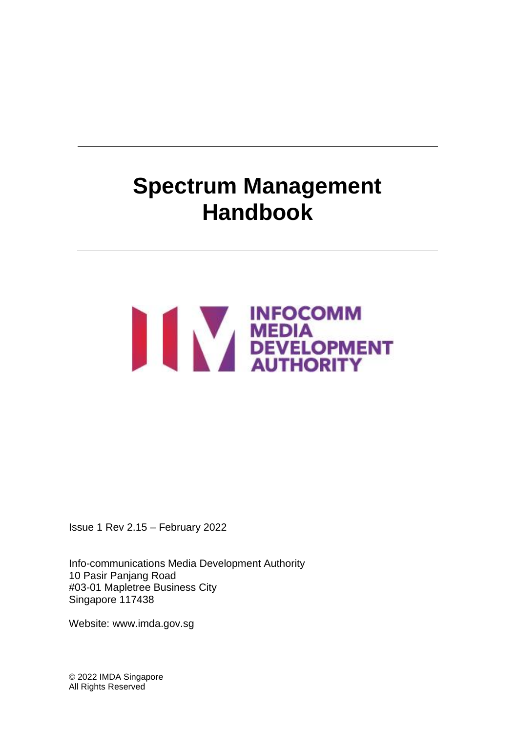# **Spectrum Management Handbook**

# NEDIA<br>DEVELOPMENT

Issue 1 Rev 2.15 – February 2022

Info-communications Media Development Authority 10 Pasir Panjang Road #03-01 Mapletree Business City Singapore 117438

Website: www.imda.gov.sg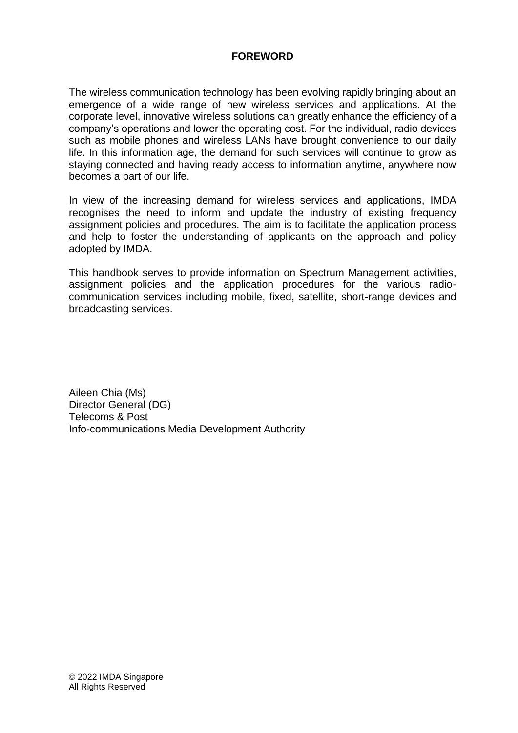# **FOREWORD**

The wireless communication technology has been evolving rapidly bringing about an emergence of a wide range of new wireless services and applications. At the corporate level, innovative wireless solutions can greatly enhance the efficiency of a company's operations and lower the operating cost. For the individual, radio devices such as mobile phones and wireless LANs have brought convenience to our daily life. In this information age, the demand for such services will continue to grow as staying connected and having ready access to information anytime, anywhere now becomes a part of our life.

In view of the increasing demand for wireless services and applications, IMDA recognises the need to inform and update the industry of existing frequency assignment policies and procedures. The aim is to facilitate the application process and help to foster the understanding of applicants on the approach and policy adopted by IMDA.

This handbook serves to provide information on Spectrum Management activities, assignment policies and the application procedures for the various radiocommunication services including mobile, fixed, satellite, short-range devices and broadcasting services.

Aileen Chia (Ms) Director General (DG) Telecoms & Post Info-communications Media Development Authority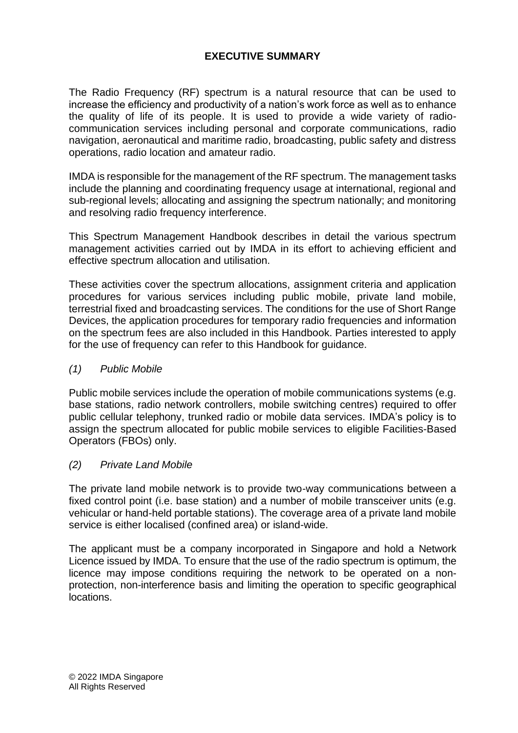# **EXECUTIVE SUMMARY**

The Radio Frequency (RF) spectrum is a natural resource that can be used to increase the efficiency and productivity of a nation's work force as well as to enhance the quality of life of its people. It is used to provide a wide variety of radiocommunication services including personal and corporate communications, radio navigation, aeronautical and maritime radio, broadcasting, public safety and distress operations, radio location and amateur radio.

IMDA is responsible for the management of the RF spectrum. The management tasks include the planning and coordinating frequency usage at international, regional and sub-regional levels; allocating and assigning the spectrum nationally; and monitoring and resolving radio frequency interference.

This Spectrum Management Handbook describes in detail the various spectrum management activities carried out by IMDA in its effort to achieving efficient and effective spectrum allocation and utilisation.

These activities cover the spectrum allocations, assignment criteria and application procedures for various services including public mobile, private land mobile, terrestrial fixed and broadcasting services. The conditions for the use of Short Range Devices, the application procedures for temporary radio frequencies and information on the spectrum fees are also included in this Handbook. Parties interested to apply for the use of frequency can refer to this Handbook for guidance.

#### *(1) Public Mobile*

Public mobile services include the operation of mobile communications systems (e.g. base stations, radio network controllers, mobile switching centres) required to offer public cellular telephony, trunked radio or mobile data services. IMDA's policy is to assign the spectrum allocated for public mobile services to eligible Facilities-Based Operators (FBOs) only.

#### *(2) Private Land Mobile*

The private land mobile network is to provide two-way communications between a fixed control point (i.e. base station) and a number of mobile transceiver units (e.g. vehicular or hand-held portable stations). The coverage area of a private land mobile service is either localised (confined area) or island-wide.

The applicant must be a company incorporated in Singapore and hold a Network Licence issued by IMDA. To ensure that the use of the radio spectrum is optimum, the licence may impose conditions requiring the network to be operated on a nonprotection, non-interference basis and limiting the operation to specific geographical locations.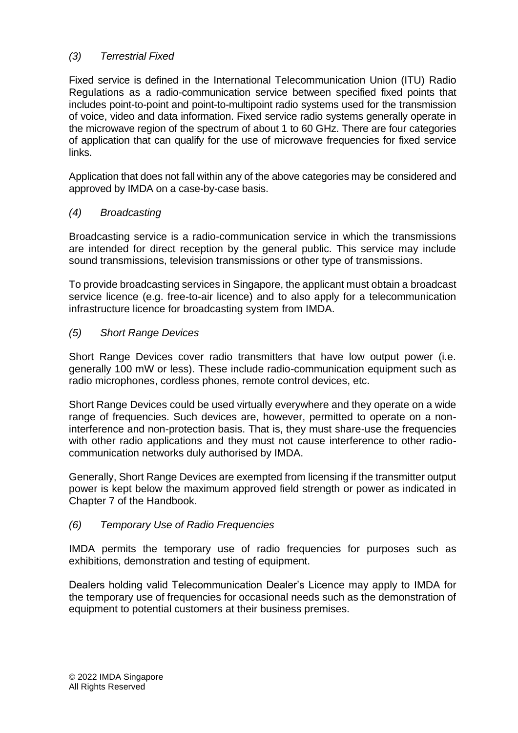# *(3) Terrestrial Fixed*

Fixed service is defined in the International Telecommunication Union (ITU) Radio Regulations as a radio-communication service between specified fixed points that includes point-to-point and point-to-multipoint radio systems used for the transmission of voice, video and data information. Fixed service radio systems generally operate in the microwave region of the spectrum of about 1 to 60 GHz. There are four categories of application that can qualify for the use of microwave frequencies for fixed service links.

Application that does not fall within any of the above categories may be considered and approved by IMDA on a case-by-case basis.

#### *(4) Broadcasting*

Broadcasting service is a radio-communication service in which the transmissions are intended for direct reception by the general public. This service may include sound transmissions, television transmissions or other type of transmissions.

To provide broadcasting services in Singapore, the applicant must obtain a broadcast service licence (e.g. free-to-air licence) and to also apply for a telecommunication infrastructure licence for broadcasting system from IMDA.

#### *(5) Short Range Devices*

Short Range Devices cover radio transmitters that have low output power (i.e. generally 100 mW or less). These include radio-communication equipment such as radio microphones, cordless phones, remote control devices, etc.

Short Range Devices could be used virtually everywhere and they operate on a wide range of frequencies. Such devices are, however, permitted to operate on a noninterference and non-protection basis. That is, they must share-use the frequencies with other radio applications and they must not cause interference to other radiocommunication networks duly authorised by IMDA.

Generally, Short Range Devices are exempted from licensing if the transmitter output power is kept below the maximum approved field strength or power as indicated in Chapter 7 of the Handbook.

#### *(6) Temporary Use of Radio Frequencies*

IMDA permits the temporary use of radio frequencies for purposes such as exhibitions, demonstration and testing of equipment.

Dealers holding valid Telecommunication Dealer's Licence may apply to IMDA for the temporary use of frequencies for occasional needs such as the demonstration of equipment to potential customers at their business premises.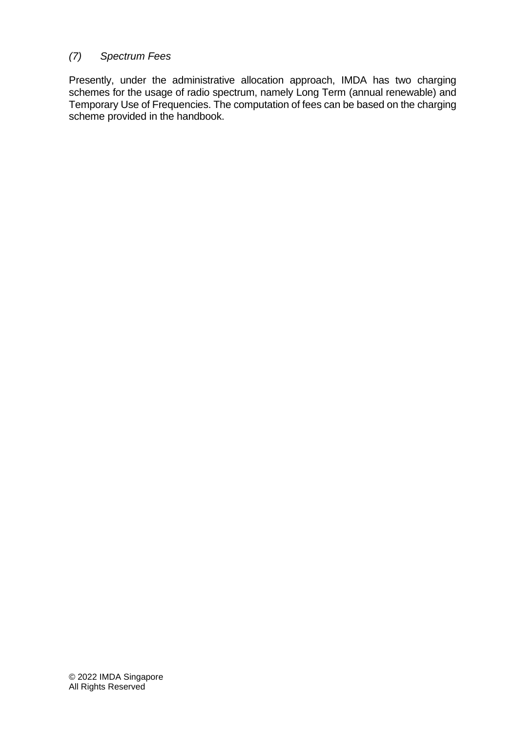# *(7) Spectrum Fees*

Presently, under the administrative allocation approach, IMDA has two charging schemes for the usage of radio spectrum, namely Long Term (annual renewable) and Temporary Use of Frequencies. The computation of fees can be based on the charging scheme provided in the handbook.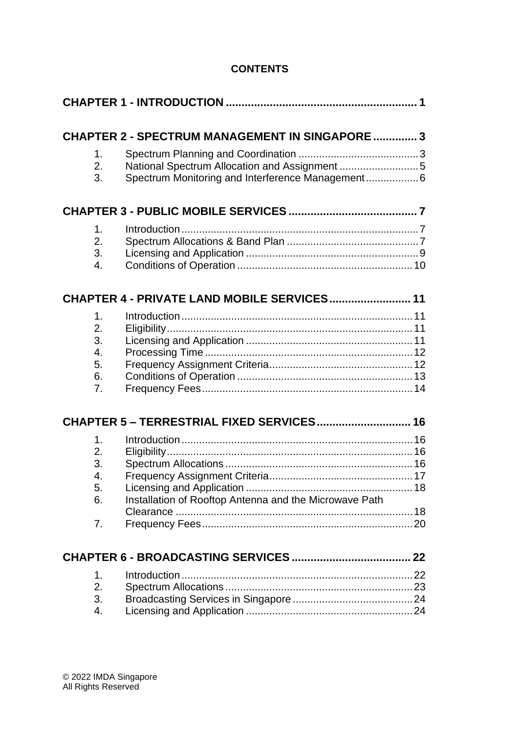# **CONTENTS**

|                  | <b>CHAPTER 2 - SPECTRUM MANAGEMENT IN SINGAPORE  3</b>                                             |
|------------------|----------------------------------------------------------------------------------------------------|
| 1.<br>2.<br>3.   | National Spectrum Allocation and Assignment 5<br>Spectrum Monitoring and Interference Management 6 |
|                  |                                                                                                    |
| 1.               |                                                                                                    |
| 2.               |                                                                                                    |
| 3.               |                                                                                                    |
| $\overline{4}$ . |                                                                                                    |
|                  |                                                                                                    |
|                  | CHAPTER 4 - PRIVATE LAND MOBILE SERVICES 11                                                        |
| 1.               |                                                                                                    |
| 2.               |                                                                                                    |
| 3.               |                                                                                                    |
| 4.               |                                                                                                    |
| 5.               |                                                                                                    |
| 6.<br>7.         |                                                                                                    |
|                  |                                                                                                    |
|                  | CHAPTER 5 - TERRESTRIAL FIXED SERVICES 16                                                          |
| 1.               |                                                                                                    |
| 2.               |                                                                                                    |
| 3.               |                                                                                                    |
| 4.               |                                                                                                    |
| 5.               |                                                                                                    |
| 6.               | Installation of Rooftop Antenna and the Microwave Path                                             |
|                  |                                                                                                    |
| 7.               |                                                                                                    |
|                  |                                                                                                    |
| 1.               |                                                                                                    |
| 2.               |                                                                                                    |
| 3.               |                                                                                                    |
| $\overline{4}$ . |                                                                                                    |
|                  |                                                                                                    |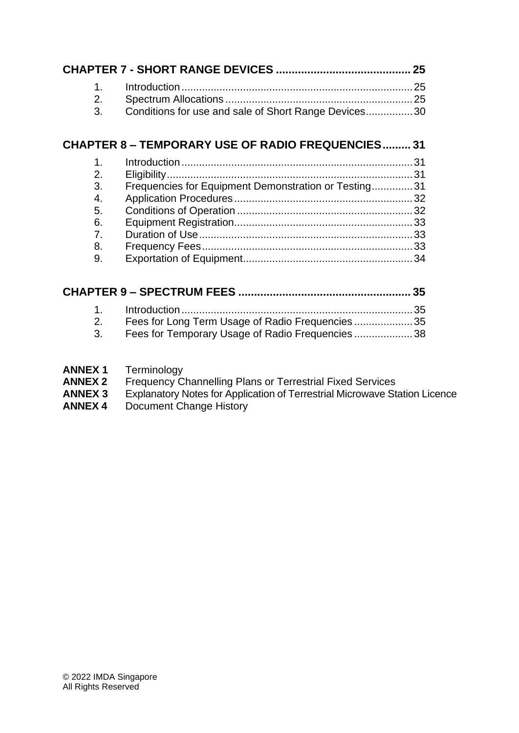| 1.<br>2.<br>3.                                     | Conditions for use and sale of Short Range Devices30                                               |  |
|----------------------------------------------------|----------------------------------------------------------------------------------------------------|--|
|                                                    | <b>CHAPTER 8 - TEMPORARY USE OF RADIO FREQUENCIES 31</b>                                           |  |
| 1.<br>2.<br>3.<br>4.<br>5.<br>6.<br>7.<br>8.<br>9. | Frequencies for Equipment Demonstration or Testing 31                                              |  |
|                                                    |                                                                                                    |  |
| 1 <sub>1</sub><br>2.<br>3.                         | Fees for Long Term Usage of Radio Frequencies35<br>Fees for Temporary Usage of Radio Frequencies38 |  |

- **[ANNEX 1](#page-48-0)** Terminology
- **[ANNEX](#page-55-0) 2** Frequency Channelling Plans or Terrestrial Fixed Services
- **[ANNEX 3](#page-63-0)** Explanatory Notes for Application of Terrestrial Microwave Station Licence
- **ANNEX 4** Document Change History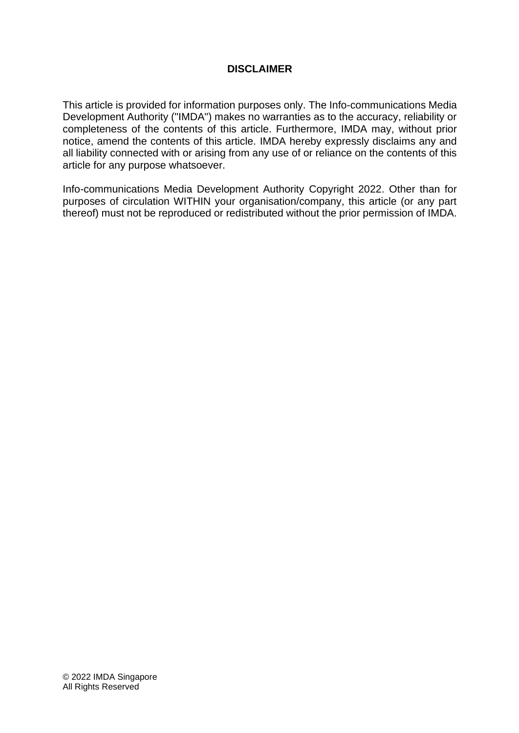#### **DISCLAIMER**

This article is provided for information purposes only. The Info-communications Media Development Authority ("IMDA") makes no warranties as to the accuracy, reliability or completeness of the contents of this article. Furthermore, IMDA may, without prior notice, amend the contents of this article. IMDA hereby expressly disclaims any and all liability connected with or arising from any use of or reliance on the contents of this article for any purpose whatsoever.

Info-communications Media Development Authority Copyright 2022. Other than for purposes of circulation WITHIN your organisation/company, this article (or any part thereof) must not be reproduced or redistributed without the prior permission of IMDA.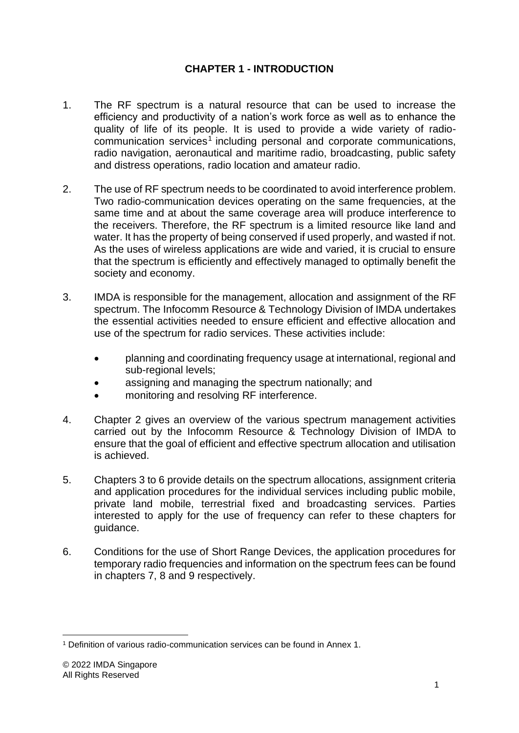# **CHAPTER 1 - INTRODUCTION**

- <span id="page-8-0"></span>1. The RF spectrum is a natural resource that can be used to increase the efficiency and productivity of a nation's work force as well as to enhance the quality of life of its people. It is used to provide a wide variety of radiocommunication services<sup>1</sup> including personal and corporate communications, radio navigation, aeronautical and maritime radio, broadcasting, public safety and distress operations, radio location and amateur radio.
- 2. The use of RF spectrum needs to be coordinated to avoid interference problem. Two radio-communication devices operating on the same frequencies, at the same time and at about the same coverage area will produce interference to the receivers. Therefore, the RF spectrum is a limited resource like land and water. It has the property of being conserved if used properly, and wasted if not. As the uses of wireless applications are wide and varied, it is crucial to ensure that the spectrum is efficiently and effectively managed to optimally benefit the society and economy.
- 3. IMDA is responsible for the management, allocation and assignment of the RF spectrum. The Infocomm Resource & Technology Division of IMDA undertakes the essential activities needed to ensure efficient and effective allocation and use of the spectrum for radio services. These activities include:
	- planning and coordinating frequency usage at international, regional and sub-regional levels;
	- assigning and managing the spectrum nationally; and
	- monitoring and resolving RF interference.
- 4. Chapter 2 gives an overview of the various spectrum management activities carried out by the Infocomm Resource & Technology Division of IMDA to ensure that the goal of efficient and effective spectrum allocation and utilisation is achieved.
- 5. Chapters 3 to 6 provide details on the spectrum allocations, assignment criteria and application procedures for the individual services including public mobile, private land mobile, terrestrial fixed and broadcasting services. Parties interested to apply for the use of frequency can refer to these chapters for guidance.
- 6. Conditions for the use of Short Range Devices, the application procedures for temporary radio frequencies and information on the spectrum fees can be found in chapters 7, 8 and 9 respectively.

<sup>1</sup> Definition of various radio-communication services can be found in Annex 1.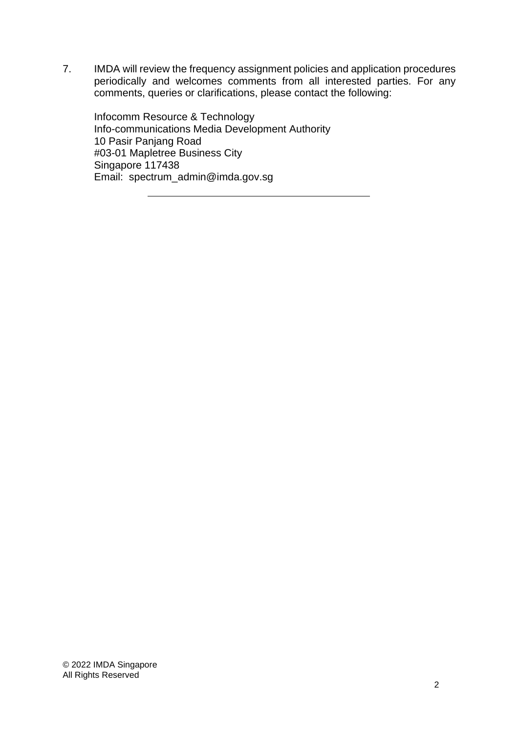7. IMDA will review the frequency assignment policies and application procedures periodically and welcomes comments from all interested parties. For any comments, queries or clarifications, please contact the following:

Infocomm Resource & Technology Info-communications Media Development Authority 10 Pasir Panjang Road #03-01 Mapletree Business City Singapore 117438 Email: spectrum\_admin@imda.gov.sg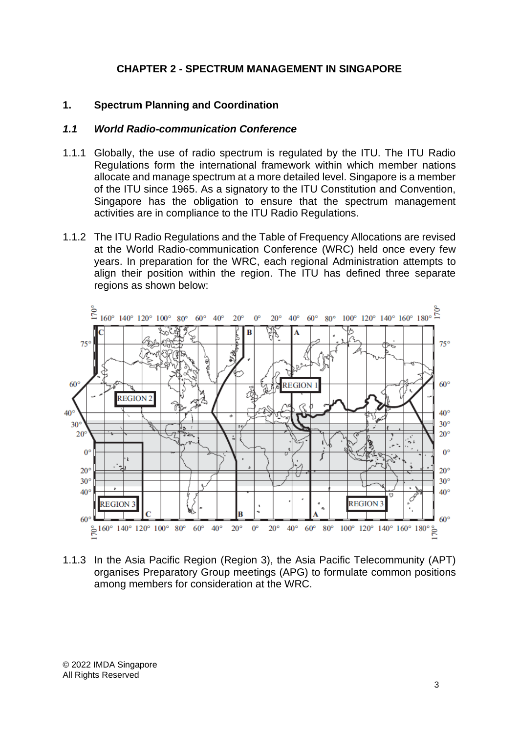#### **CHAPTER 2 - SPECTRUM MANAGEMENT IN SINGAPORE**

#### <span id="page-10-1"></span><span id="page-10-0"></span>**1. Spectrum Planning and Coordination**

#### *1.1 World Radio-communication Conference*

- 1.1.1 Globally, the use of radio spectrum is regulated by the ITU. The ITU Radio Regulations form the international framework within which member nations allocate and manage spectrum at a more detailed level. Singapore is a member of the ITU since 1965. As a signatory to the ITU Constitution and Convention, Singapore has the obligation to ensure that the spectrum management activities are in compliance to the ITU Radio Regulations.
- 1.1.2 The ITU Radio Regulations and the Table of Frequency Allocations are revised at the World Radio-communication Conference (WRC) held once every few years. In preparation for the WRC, each regional Administration attempts to align their position within the region. The ITU has defined three separate regions as shown below:



1.1.3 In the Asia Pacific Region (Region 3), the Asia Pacific Telecommunity (APT) organises Preparatory Group meetings (APG) to formulate common positions among members for consideration at the WRC.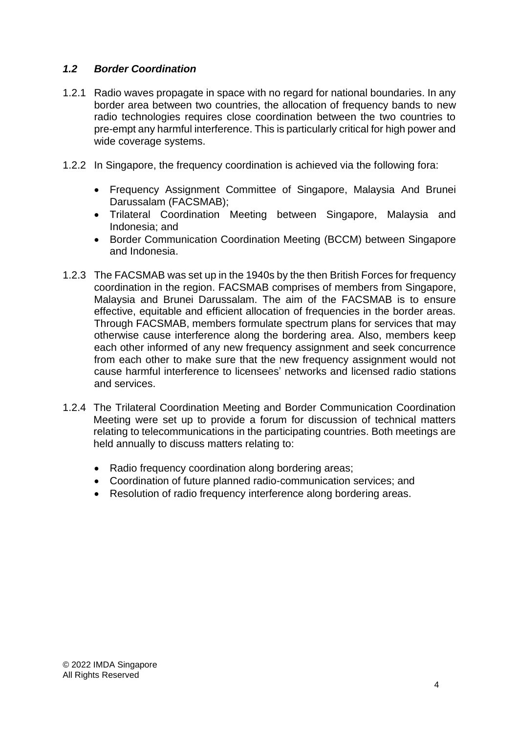# *1.2 Border Coordination*

- 1.2.1 Radio waves propagate in space with no regard for national boundaries. In any border area between two countries, the allocation of frequency bands to new radio technologies requires close coordination between the two countries to pre-empt any harmful interference. This is particularly critical for high power and wide coverage systems.
- 1.2.2 In Singapore, the frequency coordination is achieved via the following fora:
	- Frequency Assignment Committee of Singapore, Malaysia And Brunei Darussalam (FACSMAB);
	- Trilateral Coordination Meeting between Singapore, Malaysia and Indonesia; and
	- Border Communication Coordination Meeting (BCCM) between Singapore and Indonesia.
- 1.2.3 The FACSMAB was set up in the 1940s by the then British Forces for frequency coordination in the region. FACSMAB comprises of members from Singapore, Malaysia and Brunei Darussalam. The aim of the FACSMAB is to ensure effective, equitable and efficient allocation of frequencies in the border areas. Through FACSMAB, members formulate spectrum plans for services that may otherwise cause interference along the bordering area. Also, members keep each other informed of any new frequency assignment and seek concurrence from each other to make sure that the new frequency assignment would not cause harmful interference to licensees' networks and licensed radio stations and services.
- 1.2.4 The Trilateral Coordination Meeting and Border Communication Coordination Meeting were set up to provide a forum for discussion of technical matters relating to telecommunications in the participating countries. Both meetings are held annually to discuss matters relating to:
	- Radio frequency coordination along bordering areas;
	- Coordination of future planned radio-communication services; and
	- Resolution of radio frequency interference along bordering areas.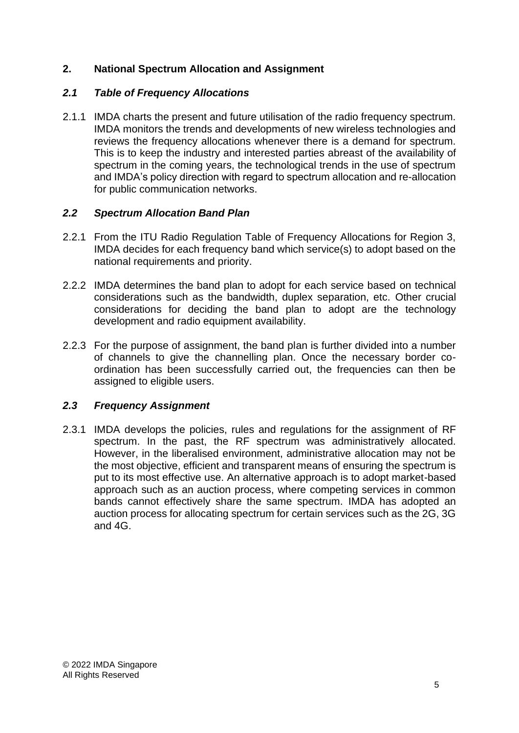# <span id="page-12-0"></span>**2. National Spectrum Allocation and Assignment**

# *2.1 Table of Frequency Allocations*

2.1.1 IMDA charts the present and future utilisation of the radio frequency spectrum. IMDA monitors the trends and developments of new wireless technologies and reviews the frequency allocations whenever there is a demand for spectrum. This is to keep the industry and interested parties abreast of the availability of spectrum in the coming years, the technological trends in the use of spectrum and IMDA's policy direction with regard to spectrum allocation and re-allocation for public communication networks.

# *2.2 Spectrum Allocation Band Plan*

- 2.2.1 From the ITU Radio Regulation Table of Frequency Allocations for Region 3, IMDA decides for each frequency band which service(s) to adopt based on the national requirements and priority.
- 2.2.2 IMDA determines the band plan to adopt for each service based on technical considerations such as the bandwidth, duplex separation, etc. Other crucial considerations for deciding the band plan to adopt are the technology development and radio equipment availability.
- 2.2.3 For the purpose of assignment, the band plan is further divided into a number of channels to give the channelling plan. Once the necessary border coordination has been successfully carried out, the frequencies can then be assigned to eligible users.

# *2.3 Frequency Assignment*

2.3.1 IMDA develops the policies, rules and regulations for the assignment of RF spectrum. In the past, the RF spectrum was administratively allocated. However, in the liberalised environment, administrative allocation may not be the most objective, efficient and transparent means of ensuring the spectrum is put to its most effective use. An alternative approach is to adopt market-based approach such as an auction process, where competing services in common bands cannot effectively share the same spectrum. IMDA has adopted an auction process for allocating spectrum for certain services such as the 2G, 3G and 4G.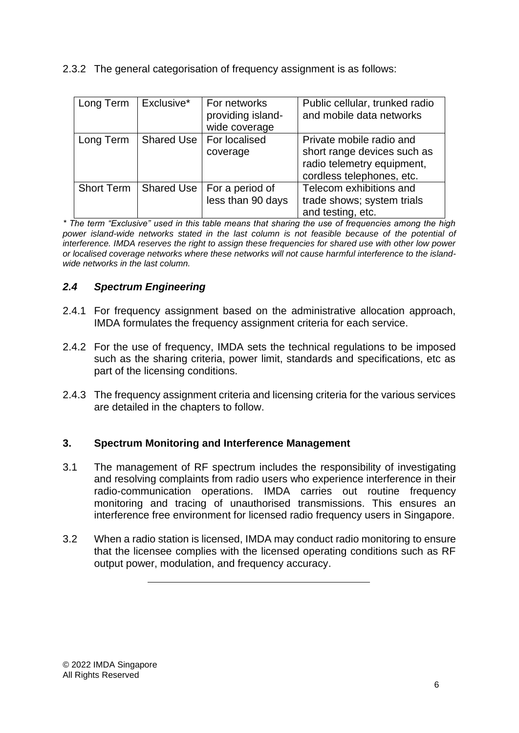|  | 2.3.2 The general categorisation of frequency assignment is as follows: |  |  |
|--|-------------------------------------------------------------------------|--|--|
|  |                                                                         |  |  |

| Long Term         | Exclusive* | For networks<br>providing island-<br>wide coverage | Public cellular, trunked radio<br>and mobile data networks                                                         |
|-------------------|------------|----------------------------------------------------|--------------------------------------------------------------------------------------------------------------------|
| Long Term         | Shared Use | For localised<br>coverage                          | Private mobile radio and<br>short range devices such as<br>radio telemetry equipment,<br>cordless telephones, etc. |
| <b>Short Term</b> | Shared Use | For a period of<br>less than 90 days               | Telecom exhibitions and<br>trade shows; system trials<br>and testing, etc.                                         |

*\* The term "Exclusive" used in this table means that sharing the use of frequencies among the high*  power island-wide networks stated in the last column is not feasible because of the potential of *interference. IMDA reserves the right to assign these frequencies for shared use with other low power or localised coverage networks where these networks will not cause harmful interference to the islandwide networks in the last column.*

# *2.4 Spectrum Engineering*

- 2.4.1 For frequency assignment based on the administrative allocation approach, IMDA formulates the frequency assignment criteria for each service.
- 2.4.2 For the use of frequency, IMDA sets the technical regulations to be imposed such as the sharing criteria, power limit, standards and specifications, etc as part of the licensing conditions.
- 2.4.3 The frequency assignment criteria and licensing criteria for the various services are detailed in the chapters to follow.

# <span id="page-13-0"></span>**3. Spectrum Monitoring and Interference Management**

- 3.1 The management of RF spectrum includes the responsibility of investigating and resolving complaints from radio users who experience interference in their radio-communication operations. IMDA carries out routine frequency monitoring and tracing of unauthorised transmissions. This ensures an interference free environment for licensed radio frequency users in Singapore.
- 3.2 When a radio station is licensed, IMDA may conduct radio monitoring to ensure that the licensee complies with the licensed operating conditions such as RF output power, modulation, and frequency accuracy.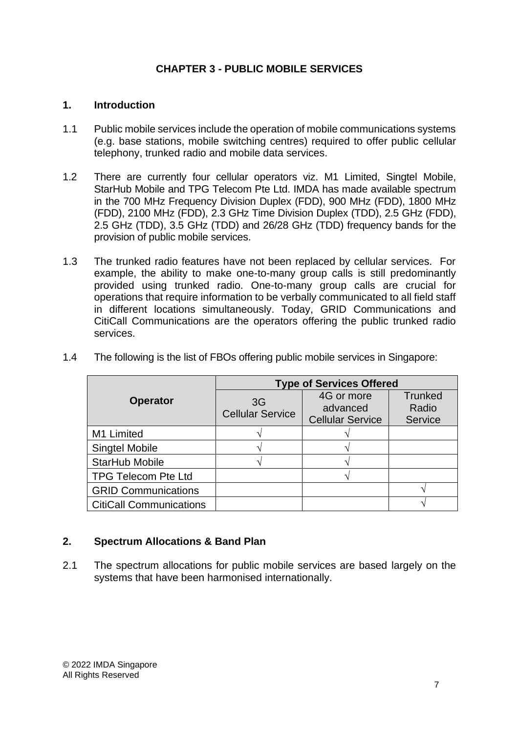# **CHAPTER 3 - PUBLIC MOBILE SERVICES**

#### <span id="page-14-1"></span><span id="page-14-0"></span>**1. Introduction**

- 1.1 Public mobile services include the operation of mobile communications systems (e.g. base stations, mobile switching centres) required to offer public cellular telephony, trunked radio and mobile data services.
- 1.2 There are currently four cellular operators viz. M1 Limited, Singtel Mobile, StarHub Mobile and TPG Telecom Pte Ltd. IMDA has made available spectrum in the 700 MHz Frequency Division Duplex (FDD), 900 MHz (FDD), 1800 MHz (FDD), 2100 MHz (FDD), 2.3 GHz Time Division Duplex (TDD), 2.5 GHz (FDD), 2.5 GHz (TDD), 3.5 GHz (TDD) and 26/28 GHz (TDD) frequency bands for the provision of public mobile services.
- 1.3 The trunked radio features have not been replaced by cellular services. For example, the ability to make one-to-many group calls is still predominantly provided using trunked radio. One-to-many group calls are crucial for operations that require information to be verbally communicated to all field staff in different locations simultaneously. Today, GRID Communications and CitiCall Communications are the operators offering the public trunked radio services.

|                                | <b>Type of Services Offered</b> |                                                   |                                    |  |
|--------------------------------|---------------------------------|---------------------------------------------------|------------------------------------|--|
| <b>Operator</b>                | 3G<br><b>Cellular Service</b>   | 4G or more<br>advanced<br><b>Cellular Service</b> | <b>Trunked</b><br>Radio<br>Service |  |
| M1 Limited                     |                                 |                                                   |                                    |  |
| <b>Singtel Mobile</b>          |                                 |                                                   |                                    |  |
| StarHub Mobile                 |                                 |                                                   |                                    |  |
| <b>TPG Telecom Pte Ltd</b>     |                                 |                                                   |                                    |  |
| <b>GRID Communications</b>     |                                 |                                                   |                                    |  |
| <b>CitiCall Communications</b> |                                 |                                                   |                                    |  |

1.4 The following is the list of FBOs offering public mobile services in Singapore:

# <span id="page-14-2"></span>**2. Spectrum Allocations & Band Plan**

2.1 The spectrum allocations for public mobile services are based largely on the systems that have been harmonised internationally.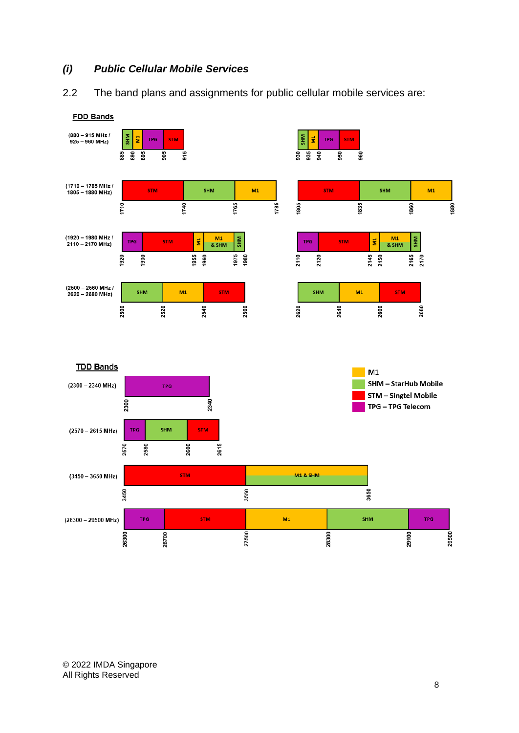# *(i) Public Cellular Mobile Services*

2.2 The band plans and assignments for public cellular mobile services are:

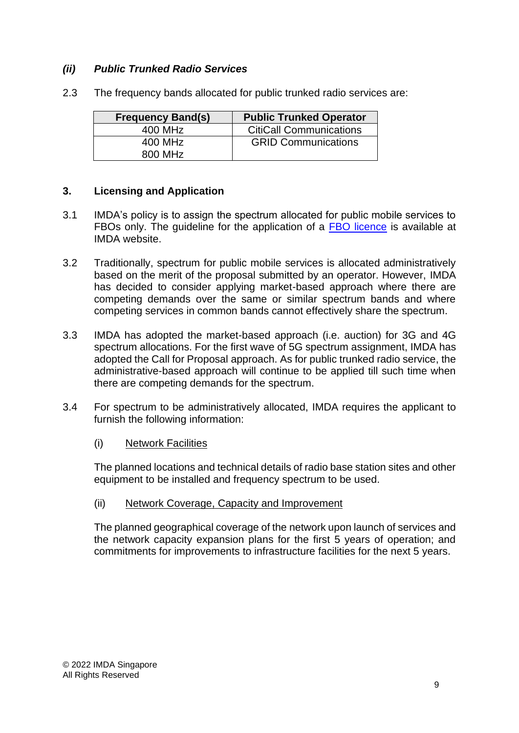# *(ii) Public Trunked Radio Services*

| <b>Frequency Band(s)</b> | <b>Public Trunked Operator</b> |
|--------------------------|--------------------------------|
| 400 MHz                  | <b>CitiCall Communications</b> |
| 400 MHz                  | <b>GRID Communications</b>     |
| 800 MHz                  |                                |

2.3 The frequency bands allocated for public trunked radio services are:

# <span id="page-16-0"></span>**3. Licensing and Application**

- 3.1 IMDA's policy is to assign the spectrum allocated for public mobile services to FBOs only. The guideline for the application of a [FBO licence](https://www.imda.gov.sg/-/media/Imda/Files/Regulation-Licensing-and-Consultations/Licensing/licenses/FBOGuidelines.pdf?la=en) is available at IMDA website.
- 3.2 Traditionally, spectrum for public mobile services is allocated administratively based on the merit of the proposal submitted by an operator. However, IMDA has decided to consider applying market-based approach where there are competing demands over the same or similar spectrum bands and where competing services in common bands cannot effectively share the spectrum.
- 3.3 IMDA has adopted the market-based approach (i.e. auction) for 3G and 4G spectrum allocations. For the first wave of 5G spectrum assignment, IMDA has adopted the Call for Proposal approach. As for public trunked radio service, the administrative-based approach will continue to be applied till such time when there are competing demands for the spectrum.
- 3.4 For spectrum to be administratively allocated, IMDA requires the applicant to furnish the following information:
	- (i) Network Facilities

The planned locations and technical details of radio base station sites and other equipment to be installed and frequency spectrum to be used.

(ii) Network Coverage, Capacity and Improvement

The planned geographical coverage of the network upon launch of services and the network capacity expansion plans for the first 5 years of operation; and commitments for improvements to infrastructure facilities for the next 5 years.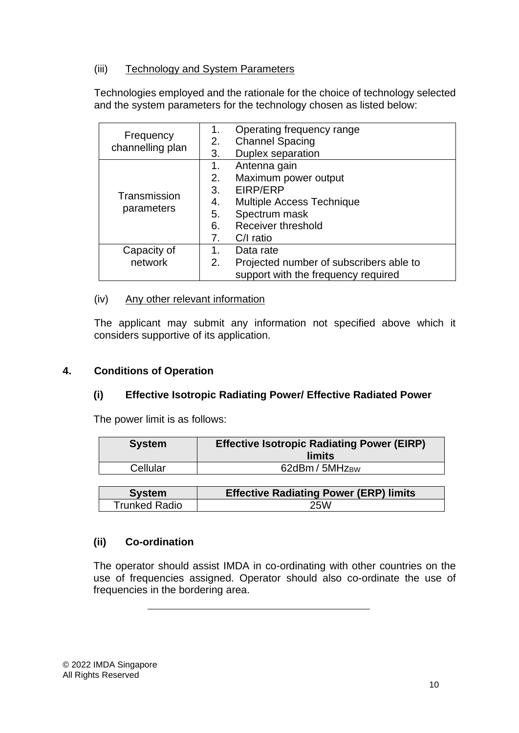# (iii) Technology and System Parameters

Technologies employed and the rationale for the choice of technology selected and the system parameters for the technology chosen as listed below:

| Frequency<br>channelling plan | 1.<br>2.<br>3.                         | Operating frequency range<br><b>Channel Spacing</b><br><b>Duplex separation</b>                                                          |  |  |
|-------------------------------|----------------------------------------|------------------------------------------------------------------------------------------------------------------------------------------|--|--|
| Transmission<br>parameters    | 1.<br>2.<br>3.<br>4.<br>5.<br>6.<br>7. | Antenna gain<br>Maximum power output<br>EIRP/ERP<br>Multiple Access Technique<br>Spectrum mask<br><b>Receiver threshold</b><br>C/I ratio |  |  |
| Capacity of<br>network        | 1.<br>2.                               | Data rate<br>Projected number of subscribers able to<br>support with the frequency required                                              |  |  |

#### (iv) Any other relevant information

The applicant may submit any information not specified above which it considers supportive of its application.

# <span id="page-17-0"></span>**4. Conditions of Operation**

# **(i) Effective Isotropic Radiating Power/ Effective Radiated Power**

The power limit is as follows:

| <b>System</b> | <b>Effective Isotropic Radiating Power (EIRP)</b><br>limits |
|---------------|-------------------------------------------------------------|
| Cellular      | 62dBm / 5MHz <sub>BW</sub>                                  |

| <b>System</b>        | <b>Effective Radiating Power (ERP) limits</b> |
|----------------------|-----------------------------------------------|
| <b>Trunked Radio</b> | 25W                                           |

# **(ii) Co-ordination**

The operator should assist IMDA in co-ordinating with other countries on the use of frequencies assigned. Operator should also co-ordinate the use of frequencies in the bordering area.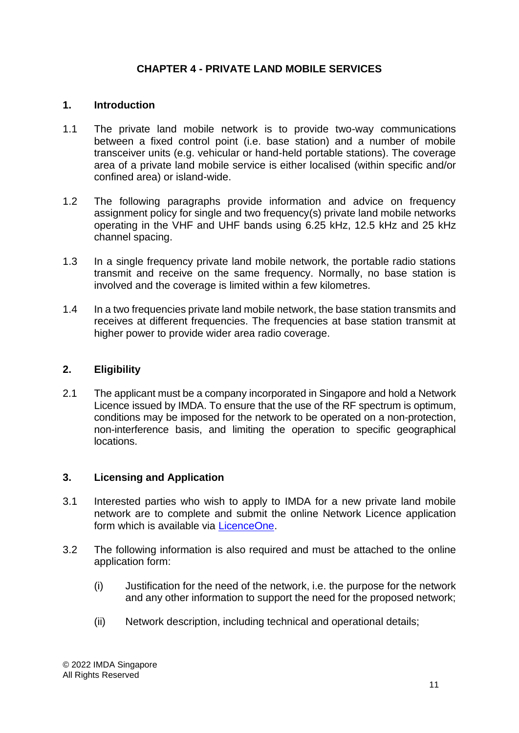# **CHAPTER 4 - PRIVATE LAND MOBILE SERVICES**

#### <span id="page-18-1"></span><span id="page-18-0"></span>**1. Introduction**

- 1.1 The private land mobile network is to provide two-way communications between a fixed control point (i.e. base station) and a number of mobile transceiver units (e.g. vehicular or hand-held portable stations). The coverage area of a private land mobile service is either localised (within specific and/or confined area) or island-wide.
- 1.2 The following paragraphs provide information and advice on frequency assignment policy for single and two frequency(s) private land mobile networks operating in the VHF and UHF bands using 6.25 kHz, 12.5 kHz and 25 kHz channel spacing.
- 1.3 In a single frequency private land mobile network, the portable radio stations transmit and receive on the same frequency. Normally, no base station is involved and the coverage is limited within a few kilometres.
- 1.4 In a two frequencies private land mobile network, the base station transmits and receives at different frequencies. The frequencies at base station transmit at higher power to provide wider area radio coverage.

#### <span id="page-18-2"></span>**2. Eligibility**

2.1 The applicant must be a company incorporated in Singapore and hold a Network Licence issued by IMDA. To ensure that the use of the RF spectrum is optimum, conditions may be imposed for the network to be operated on a non-protection, non-interference basis, and limiting the operation to specific geographical locations.

#### <span id="page-18-3"></span>**3. Licensing and Application**

- 3.1 Interested parties who wish to apply to IMDA for a new private land mobile network are to complete and submit the online Network Licence application form which is available via **LicenceOne**.
- 3.2 The following information is also required and must be attached to the online application form:
	- (i) Justification for the need of the network, i.e. the purpose for the network and any other information to support the need for the proposed network;
	- (ii) Network description, including technical and operational details;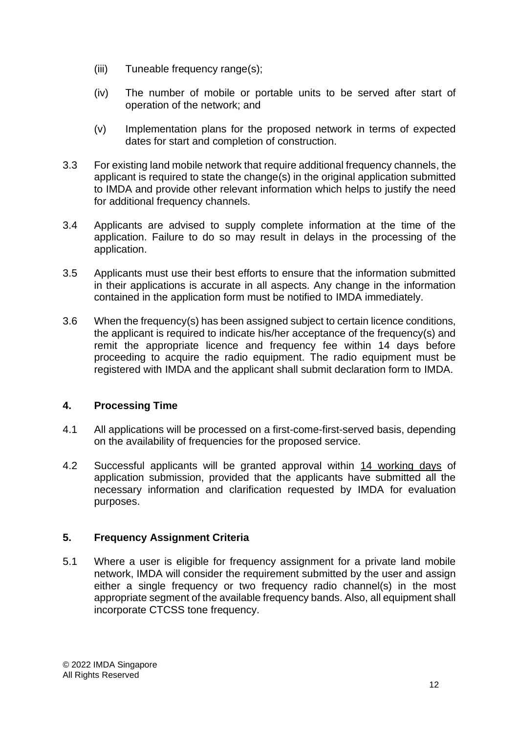- (iii) Tuneable frequency range(s);
- (iv) The number of mobile or portable units to be served after start of operation of the network; and
- (v) Implementation plans for the proposed network in terms of expected dates for start and completion of construction.
- 3.3 For existing land mobile network that require additional frequency channels, the applicant is required to state the change(s) in the original application submitted to IMDA and provide other relevant information which helps to justify the need for additional frequency channels.
- 3.4 Applicants are advised to supply complete information at the time of the application. Failure to do so may result in delays in the processing of the application.
- 3.5 Applicants must use their best efforts to ensure that the information submitted in their applications is accurate in all aspects. Any change in the information contained in the application form must be notified to IMDA immediately.
- 3.6 When the frequency(s) has been assigned subject to certain licence conditions, the applicant is required to indicate his/her acceptance of the frequency(s) and remit the appropriate licence and frequency fee within 14 days before proceeding to acquire the radio equipment. The radio equipment must be registered with IMDA and the applicant shall submit declaration form to IMDA.

# <span id="page-19-0"></span>**4. Processing Time**

- 4.1 All applications will be processed on a first-come-first-served basis, depending on the availability of frequencies for the proposed service.
- 4.2 Successful applicants will be granted approval within 14 working days of application submission, provided that the applicants have submitted all the necessary information and clarification requested by IMDA for evaluation purposes.

# <span id="page-19-1"></span>**5. Frequency Assignment Criteria**

5.1 Where a user is eligible for frequency assignment for a private land mobile network, IMDA will consider the requirement submitted by the user and assign either a single frequency or two frequency radio channel(s) in the most appropriate segment of the available frequency bands. Also, all equipment shall incorporate CTCSS tone frequency.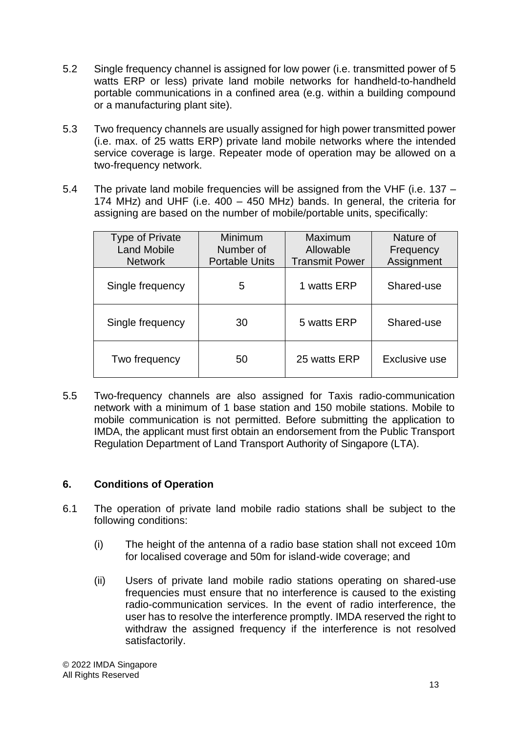- 5.2 Single frequency channel is assigned for low power (i.e. transmitted power of 5 watts ERP or less) private land mobile networks for handheld-to-handheld portable communications in a confined area (e.g. within a building compound or a manufacturing plant site).
- 5.3 Two frequency channels are usually assigned for high power transmitted power (i.e. max. of 25 watts ERP) private land mobile networks where the intended service coverage is large. Repeater mode of operation may be allowed on a two-frequency network.
- 5.4 The private land mobile frequencies will be assigned from the VHF (i.e. 137 174 MHz) and UHF (i.e. 400 – 450 MHz) bands. In general, the criteria for assigning are based on the number of mobile/portable units, specifically:

| <b>Type of Private</b><br><b>Land Mobile</b><br><b>Network</b> | Minimum<br>Number of<br><b>Portable Units</b> | Maximum<br>Allowable<br><b>Transmit Power</b> | Nature of<br>Frequency<br>Assignment |
|----------------------------------------------------------------|-----------------------------------------------|-----------------------------------------------|--------------------------------------|
| Single frequency                                               | 5                                             | 1 watts ERP                                   | Shared-use                           |
| Single frequency                                               | 30                                            | 5 watts ERP                                   | Shared-use                           |
| Two frequency                                                  | 50                                            | 25 watts ERP                                  | Exclusive use                        |

5.5 Two-frequency channels are also assigned for Taxis radio-communication network with a minimum of 1 base station and 150 mobile stations. Mobile to mobile communication is not permitted. Before submitting the application to IMDA, the applicant must first obtain an endorsement from the Public Transport Regulation Department of Land Transport Authority of Singapore (LTA).

# <span id="page-20-0"></span>**6. Conditions of Operation**

- 6.1 The operation of private land mobile radio stations shall be subject to the following conditions:
	- (i) The height of the antenna of a radio base station shall not exceed 10m for localised coverage and 50m for island-wide coverage; and
	- (ii) Users of private land mobile radio stations operating on shared-use frequencies must ensure that no interference is caused to the existing radio-communication services. In the event of radio interference, the user has to resolve the interference promptly. IMDA reserved the right to withdraw the assigned frequency if the interference is not resolved satisfactorily.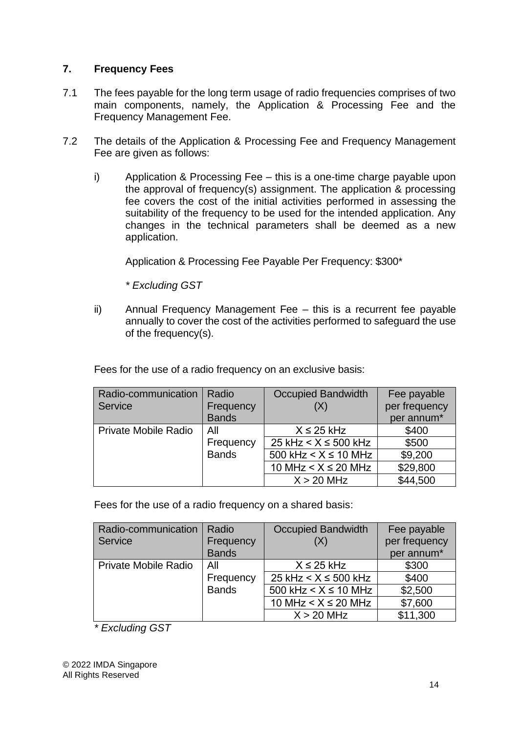# <span id="page-21-0"></span>**7. Frequency Fees**

- 7.1 The fees payable for the long term usage of radio frequencies comprises of two main components, namely, the Application & Processing Fee and the Frequency Management Fee.
- 7.2 The details of the Application & Processing Fee and Frequency Management Fee are given as follows:
	- i) Application & Processing Fee this is a one-time charge payable upon the approval of frequency(s) assignment. The application & processing fee covers the cost of the initial activities performed in assessing the suitability of the frequency to be used for the intended application. Any changes in the technical parameters shall be deemed as a new application.

Application & Processing Fee Payable Per Frequency: \$300\*

*\* Excluding GST*

ii) Annual Frequency Management Fee – this is a recurrent fee payable annually to cover the cost of the activities performed to safeguard the use of the frequency(s).

Fees for the use of a radio frequency on an exclusive basis:

| Radio-communication         | Radio        | <b>Occupied Bandwidth</b> | Fee payable            |
|-----------------------------|--------------|---------------------------|------------------------|
| Service                     | Frequency    | (X)                       | per frequency          |
|                             | <b>Bands</b> |                           | per annum <sup>*</sup> |
| <b>Private Mobile Radio</b> | All          | $X \leq 25$ kHz           | \$400                  |
|                             | Frequency    | 25 kHz $< X \le 500$ kHz  | \$500                  |
|                             | <b>Bands</b> | 500 kHz $< X \le 10$ MHz  | \$9,200                |
|                             |              | 10 MHz $< X \le 20$ MHz   | \$29,800               |
|                             |              | $X > 20$ MHz              | \$44,500               |

Fees for the use of a radio frequency on a shared basis:

| Radio-communication         | Radio        | Occupied Bandwidth             | Fee payable            |
|-----------------------------|--------------|--------------------------------|------------------------|
| Service                     | Frequency    | (X)                            | per frequency          |
|                             | <b>Bands</b> |                                | per annum <sup>*</sup> |
| <b>Private Mobile Radio</b> | All          | $X \leq 25$ kHz                | \$300                  |
|                             | Frequency    | 25 kHz $< X \le 500$ kHz       | \$400                  |
|                             | <b>Bands</b> | 500 kHz $\leq$ X $\leq$ 10 MHz | \$2,500                |
|                             |              | 10 MHz $< X \le 20$ MHz        | \$7,600                |
|                             |              | $X > 20$ MHz                   | \$11,300               |

*\* Excluding GST*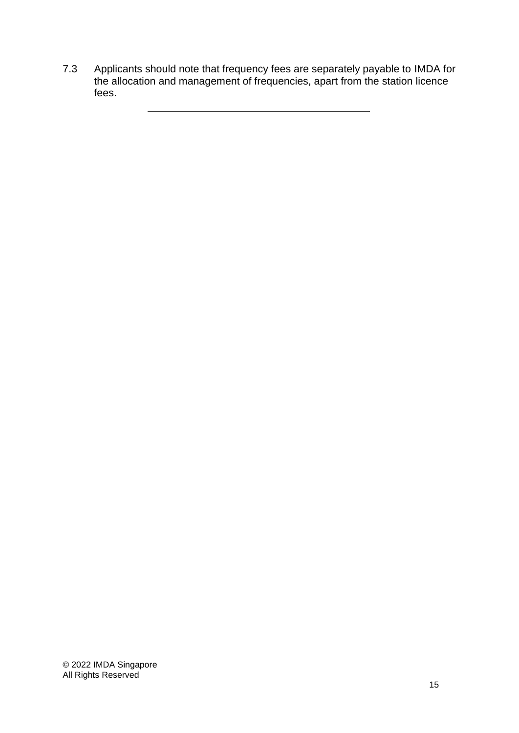7.3 Applicants should note that frequency fees are separately payable to IMDA for the allocation and management of frequencies, apart from the station licence fees.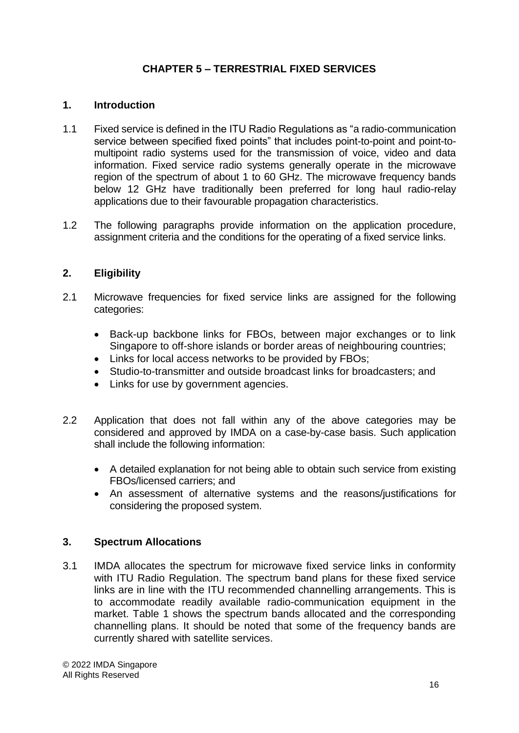# **CHAPTER 5 – TERRESTRIAL FIXED SERVICES**

#### <span id="page-23-1"></span><span id="page-23-0"></span>**1. Introduction**

- 1.1 Fixed service is defined in the ITU Radio Regulations as "a radio-communication service between specified fixed points" that includes point-to-point and point-tomultipoint radio systems used for the transmission of voice, video and data information. Fixed service radio systems generally operate in the microwave region of the spectrum of about 1 to 60 GHz. The microwave frequency bands below 12 GHz have traditionally been preferred for long haul radio-relay applications due to their favourable propagation characteristics.
- 1.2 The following paragraphs provide information on the application procedure, assignment criteria and the conditions for the operating of a fixed service links.

#### <span id="page-23-2"></span>**2. Eligibility**

- 2.1 Microwave frequencies for fixed service links are assigned for the following categories:
	- Back-up backbone links for FBOs, between major exchanges or to link Singapore to off-shore islands or border areas of neighbouring countries;
	- Links for local access networks to be provided by FBOs;
	- Studio-to-transmitter and outside broadcast links for broadcasters; and
	- Links for use by government agencies.
- 2.2 Application that does not fall within any of the above categories may be considered and approved by IMDA on a case-by-case basis. Such application shall include the following information:
	- A detailed explanation for not being able to obtain such service from existing FBOs/licensed carriers; and
	- An assessment of alternative systems and the reasons/justifications for considering the proposed system.

#### <span id="page-23-3"></span>**3. Spectrum Allocations**

3.1 IMDA allocates the spectrum for microwave fixed service links in conformity with ITU Radio Regulation. The spectrum band plans for these fixed service links are in line with the ITU recommended channelling arrangements. This is to accommodate readily available radio-communication equipment in the market. Table 1 shows the spectrum bands allocated and the corresponding channelling plans. It should be noted that some of the frequency bands are currently shared with satellite services.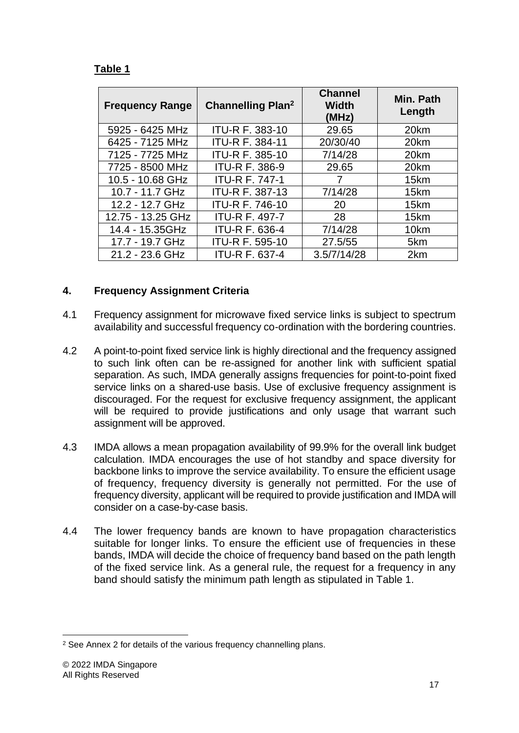# **Table 1**

| <b>Frequency Range</b> | <b>Channelling Plan<sup>2</sup></b> | <b>Channel</b><br><b>Width</b><br>(MHz) | Min. Path<br>Length |
|------------------------|-------------------------------------|-----------------------------------------|---------------------|
| 5925 - 6425 MHz        | <b>ITU-R F. 383-10</b>              | 29.65                                   | 20km                |
| 6425 - 7125 MHz        | <b>ITU-R F. 384-11</b>              | 20/30/40                                | 20km                |
| 7125 - 7725 MHz        | <b>ITU-R F. 385-10</b>              | 7/14/28                                 | 20km                |
| 7725 - 8500 MHz        | <b>ITU-R F. 386-9</b>               | 29.65                                   | 20km                |
| 10.5 - 10.68 GHz       | <b>ITU-R F. 747-1</b>               |                                         | 15km                |
| 10.7 - 11.7 GHz        | ITU-R F. 387-13                     | 7/14/28                                 | 15km                |
| 12.2 - 12.7 GHz        | <b>ITU-R F. 746-10</b>              | 20                                      | 15km                |
| 12.75 - 13.25 GHz      | <b>ITU-R F. 497-7</b>               | 28                                      | 15km                |
| 14.4 - 15.35GHz        | <b>ITU-R F. 636-4</b>               | 7/14/28                                 | 10km                |
| 17.7 - 19.7 GHz        | ITU-R F. 595-10                     | 27.5/55                                 | 5km                 |
| 21.2 - 23.6 GHz        | <b>ITU-R F. 637-4</b>               | 3.5/7/14/28                             | 2km                 |

# <span id="page-24-0"></span>**4. Frequency Assignment Criteria**

- 4.1 Frequency assignment for microwave fixed service links is subject to spectrum availability and successful frequency co-ordination with the bordering countries.
- 4.2 A point-to-point fixed service link is highly directional and the frequency assigned to such link often can be re-assigned for another link with sufficient spatial separation. As such, IMDA generally assigns frequencies for point-to-point fixed service links on a shared-use basis. Use of exclusive frequency assignment is discouraged. For the request for exclusive frequency assignment, the applicant will be required to provide justifications and only usage that warrant such assignment will be approved.
- 4.3 IMDA allows a mean propagation availability of 99.9% for the overall link budget calculation. IMDA encourages the use of hot standby and space diversity for backbone links to improve the service availability. To ensure the efficient usage of frequency, frequency diversity is generally not permitted. For the use of frequency diversity, applicant will be required to provide justification and IMDA will consider on a case-by-case basis.
- 4.4 The lower frequency bands are known to have propagation characteristics suitable for longer links. To ensure the efficient use of frequencies in these bands, IMDA will decide the choice of frequency band based on the path length of the fixed service link. As a general rule, the request for a frequency in any band should satisfy the minimum path length as stipulated in Table 1.

<sup>&</sup>lt;sup>2</sup> See Annex 2 for details of the various frequency channelling plans.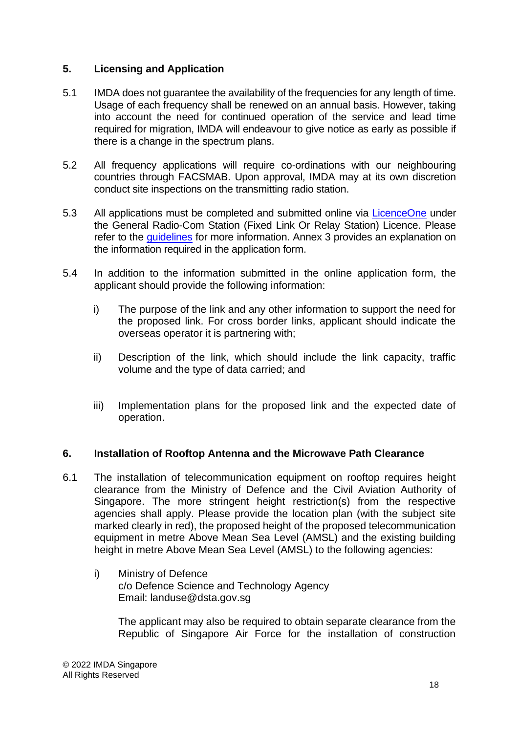#### <span id="page-25-0"></span>**5. Licensing and Application**

- 5.1 IMDA does not guarantee the availability of the frequencies for any length of time. Usage of each frequency shall be renewed on an annual basis. However, taking into account the need for continued operation of the service and lead time required for migration, IMDA will endeavour to give notice as early as possible if there is a change in the spectrum plans.
- 5.2 All frequency applications will require co-ordinations with our neighbouring countries through FACSMAB. Upon approval, IMDA may at its own discretion conduct site inspections on the transmitting radio station.
- 5.3 All applications must be completed and submitted online via [LicenceOne](https://licence1.business.gov.sg/) under the General Radio-Com Station (Fixed Link Or Relay Station) Licence. Please refer to the [guidelines](https://www.imda.gov.sg/~/media/imda/files/regulation%20licensing%20and%20consultations/licensing/licenses/guiderctm.pdf?la=en) for more information. Annex 3 provides an explanation on the information required in the application form.
- 5.4 In addition to the information submitted in the online application form, the applicant should provide the following information:
	- i) The purpose of the link and any other information to support the need for the proposed link. For cross border links, applicant should indicate the overseas operator it is partnering with;
	- ii) Description of the link, which should include the link capacity, traffic volume and the type of data carried; and
	- iii) Implementation plans for the proposed link and the expected date of operation.

#### <span id="page-25-1"></span>**6. Installation of Rooftop Antenna and the Microwave Path Clearance**

- 6.1 The installation of telecommunication equipment on rooftop requires height clearance from the Ministry of Defence and the Civil Aviation Authority of Singapore. The more stringent height restriction(s) from the respective agencies shall apply. Please provide the location plan (with the subject site marked clearly in red), the proposed height of the proposed telecommunication equipment in metre Above Mean Sea Level (AMSL) and the existing building height in metre Above Mean Sea Level (AMSL) to the following agencies:
	- i) Ministry of Defence c/o Defence Science and Technology Agency Email: landuse@dsta.gov.sg

The applicant may also be required to obtain separate clearance from the Republic of Singapore Air Force for the installation of construction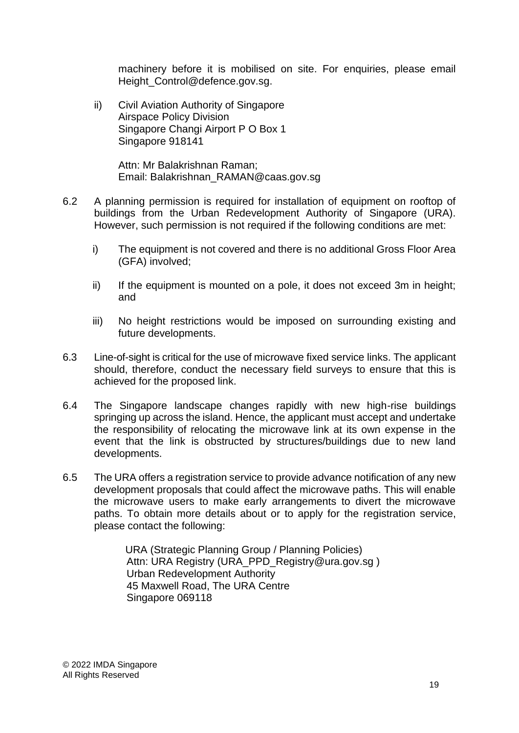machinery before it is mobilised on site. For enquiries, please email Height\_Control@defence.gov.sg.

ii) Civil Aviation Authority of Singapore Airspace Policy Division Singapore Changi Airport P O Box 1 Singapore 918141

> Attn: Mr Balakrishnan Raman; Email: Balakrishnan\_RAMAN@caas.gov.sg

- 6.2 A planning permission is required for installation of equipment on rooftop of buildings from the Urban Redevelopment Authority of Singapore (URA). However, such permission is not required if the following conditions are met:
	- i) The equipment is not covered and there is no additional Gross Floor Area (GFA) involved;
	- ii) If the equipment is mounted on a pole, it does not exceed 3m in height; and
	- iii) No height restrictions would be imposed on surrounding existing and future developments.
- 6.3 Line-of-sight is critical for the use of microwave fixed service links. The applicant should, therefore, conduct the necessary field surveys to ensure that this is achieved for the proposed link.
- 6.4 The Singapore landscape changes rapidly with new high-rise buildings springing up across the island. Hence, the applicant must accept and undertake the responsibility of relocating the microwave link at its own expense in the event that the link is obstructed by structures/buildings due to new land developments.
- 6.5 The URA offers a registration service to provide advance notification of any new development proposals that could affect the microwave paths. This will enable the microwave users to make early arrangements to divert the microwave paths. To obtain more details about or to apply for the registration service, please contact the following:

URA (Strategic Planning Group / Planning Policies) Attn: URA Registry (URA\_PPD\_Registry@ura.gov.sg ) Urban Redevelopment Authority 45 Maxwell Road, The URA Centre Singapore 069118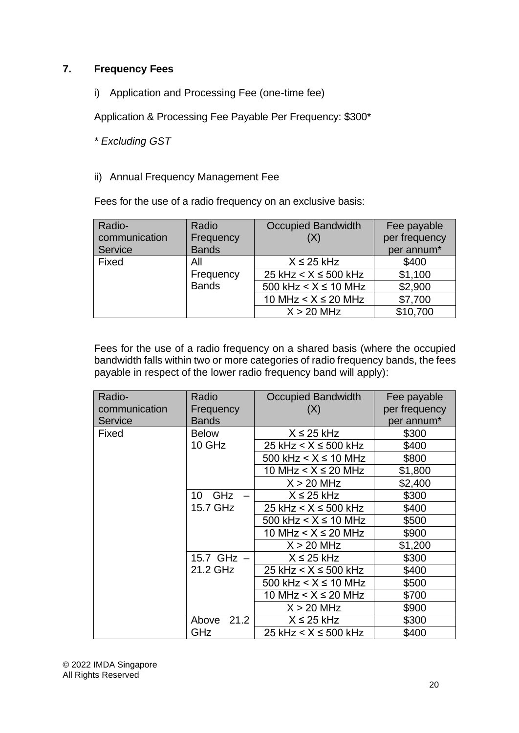# <span id="page-27-0"></span>**7. Frequency Fees**

i) Application and Processing Fee (one-time fee)

Application & Processing Fee Payable Per Frequency: \$300\*

*\* Excluding GST*

ii) Annual Frequency Management Fee

Fees for the use of a radio frequency on an exclusive basis:

| Radio-        | Radio        | <b>Occupied Bandwidth</b> | Fee payable   |
|---------------|--------------|---------------------------|---------------|
| communication | Frequency    | (X)                       | per frequency |
| Service       | <b>Bands</b> |                           | per annum*    |
| Fixed         | All          | $X \leq 25$ kHz           | \$400         |
|               | Frequency    | 25 kHz $< X \le 500$ kHz  | \$1,100       |
|               | <b>Bands</b> | 500 kHz $< X \le 10$ MHz  | \$2,900       |
|               |              | 10 MHz $< X \le 20$ MHz   | \$7,700       |
|               |              | $X > 20$ MHz              | \$10,700      |

Fees for the use of a radio frequency on a shared basis (where the occupied bandwidth falls within two or more categories of radio frequency bands, the fees payable in respect of the lower radio frequency band will apply):

| Radio-        | Radio            | <b>Occupied Bandwidth</b> | Fee payable   |
|---------------|------------------|---------------------------|---------------|
| communication | Frequency        | (X)                       | per frequency |
| Service       | <b>Bands</b>     |                           | per annum*    |
| Fixed         | <b>Below</b>     | $X \leq 25$ kHz           | \$300         |
|               | 10 GHz           | 25 kHz $< X \le 500$ kHz  | \$400         |
|               |                  | 500 kHz $< X \le 10$ MHz  | \$800         |
|               |                  | 10 MHz $< X \le 20$ MHz   | \$1,800       |
|               |                  | $X > 20$ MHz              | \$2,400       |
|               | <b>GHz</b><br>10 | $X \leq 25$ kHz           | \$300         |
|               | 15.7 GHz         | 25 kHz $< X \le 500$ kHz  | \$400         |
|               |                  | 500 kHz $< X \le 10$ MHz  | \$500         |
|               |                  | 10 MHz $< X \le 20$ MHz   | \$900         |
|               |                  | $X > 20$ MHz              | \$1,200       |
|               | 15.7 $GHz -$     | $X \leq 25$ kHz           | \$300         |
|               | 21.2 GHz         | 25 kHz $< X \leq 500$ kHz | \$400         |
|               |                  | 500 kHz $< X \le 10$ MHz  | \$500         |
|               |                  | 10 MHz $< X \le 20$ MHz   | \$700         |
|               |                  | $X > 20$ MHz              | \$900         |
|               | 21.2<br>Above    | $X \leq 25$ kHz           | \$300         |
|               | <b>GHz</b>       | 25 kHz $< X \le 500$ kHz  | \$400         |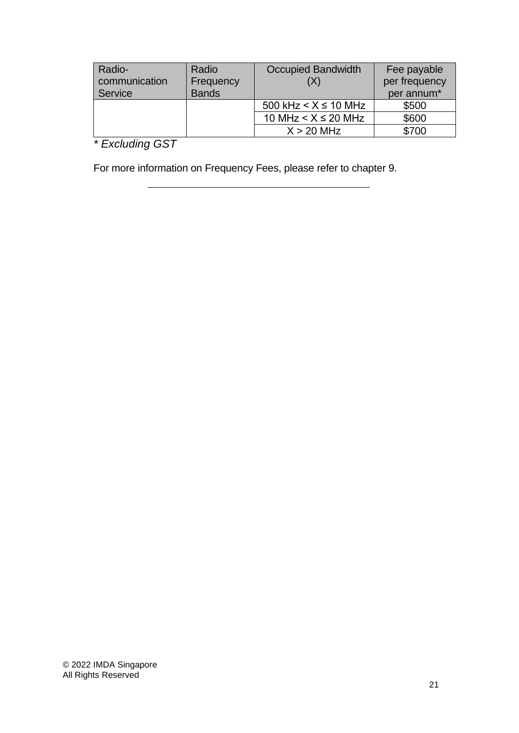| Radio-        | Radio        | <b>Occupied Bandwidth</b> | Fee payable   |
|---------------|--------------|---------------------------|---------------|
| communication | Frequency    |                           | per frequency |
| Service       | <b>Bands</b> |                           | per annum*    |
|               |              | 500 kHz $< X \le 10$ MHz  | \$500         |
|               |              | 10 MHz $< X \le 20$ MHz   | \$600         |
|               |              | $X > 20$ MHz              | \$700         |

*\* Excluding GST*

For more information on Frequency Fees, please refer to chapter 9.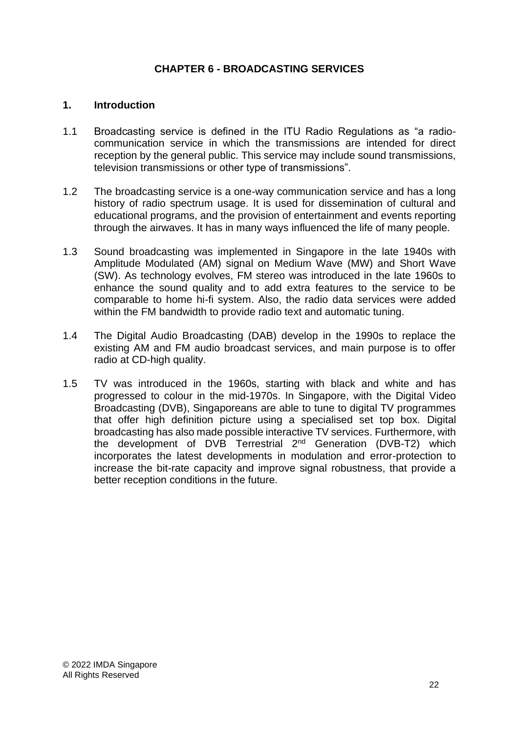#### <span id="page-29-0"></span>**CHAPTER 6 - BROADCASTING SERVICES**

#### <span id="page-29-1"></span>**1. Introduction**

- 1.1 Broadcasting service is defined in the ITU Radio Regulations as "a radiocommunication service in which the transmissions are intended for direct reception by the general public. This service may include sound transmissions, television transmissions or other type of transmissions".
- 1.2 The broadcasting service is a one-way communication service and has a long history of radio spectrum usage. It is used for dissemination of cultural and educational programs, and the provision of entertainment and events reporting through the airwaves. It has in many ways influenced the life of many people.
- 1.3 Sound broadcasting was implemented in Singapore in the late 1940s with Amplitude Modulated (AM) signal on Medium Wave (MW) and Short Wave (SW). As technology evolves, FM stereo was introduced in the late 1960s to enhance the sound quality and to add extra features to the service to be comparable to home hi-fi system. Also, the radio data services were added within the FM bandwidth to provide radio text and automatic tuning.
- 1.4 The Digital Audio Broadcasting (DAB) develop in the 1990s to replace the existing AM and FM audio broadcast services, and main purpose is to offer radio at CD-high quality.
- 1.5 TV was introduced in the 1960s, starting with black and white and has progressed to colour in the mid-1970s. In Singapore, with the Digital Video Broadcasting (DVB), Singaporeans are able to tune to digital TV programmes that offer high definition picture using a specialised set top box. Digital broadcasting has also made possible interactive TV services. Furthermore, with the development of DVB Terrestrial 2nd Generation (DVB-T2) which incorporates the latest developments in modulation and error-protection to increase the bit-rate capacity and improve signal robustness, that provide a better reception conditions in the future.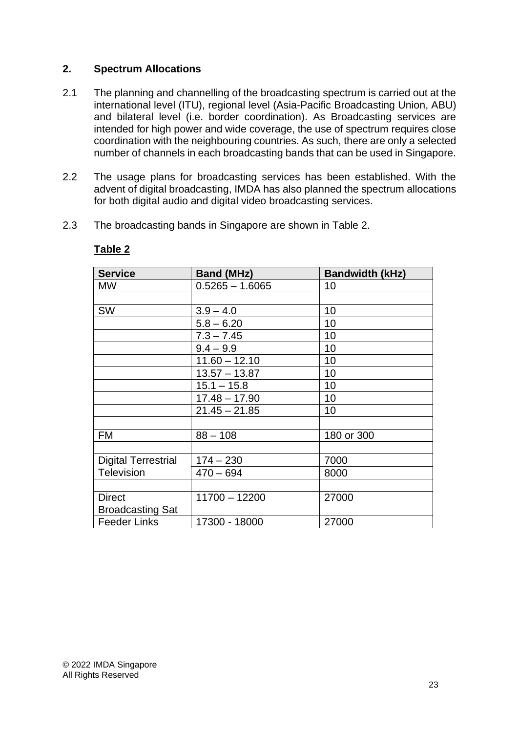#### <span id="page-30-0"></span>**2. Spectrum Allocations**

- 2.1 The planning and channelling of the broadcasting spectrum is carried out at the international level (ITU), regional level (Asia-Pacific Broadcasting Union, ABU) and bilateral level (i.e. border coordination). As Broadcasting services are intended for high power and wide coverage, the use of spectrum requires close coordination with the neighbouring countries. As such, there are only a selected number of channels in each broadcasting bands that can be used in Singapore.
- 2.2 The usage plans for broadcasting services has been established. With the advent of digital broadcasting, IMDA has also planned the spectrum allocations for both digital audio and digital video broadcasting services.
- 2.3 The broadcasting bands in Singapore are shown in Table 2.

| <b>Service</b>             | <b>Band (MHz)</b> | <b>Bandwidth (kHz)</b> |
|----------------------------|-------------------|------------------------|
| <b>MW</b>                  | $0.5265 - 1.6065$ | 10                     |
|                            |                   |                        |
| <b>SW</b>                  | $3.9 - 4.0$       | 10                     |
|                            | $5.8 - 6.20$      | 10                     |
|                            | $7.3 - 7.45$      | 10                     |
|                            | $9.4 - 9.9$       | 10                     |
|                            | $11.60 - 12.10$   | 10                     |
|                            | $13.57 - 13.87$   | 10                     |
|                            | $15.1 - 15.8$     | 10                     |
|                            | $17.48 - 17.90$   | 10                     |
|                            | $21.45 - 21.85$   | 10                     |
|                            |                   |                        |
| <b>FM</b>                  | $88 - 108$        | 180 or 300             |
|                            |                   |                        |
| <b>Digital Terrestrial</b> | $174 - 230$       | 7000                   |
| <b>Television</b>          | $470 - 694$       | 8000                   |
|                            |                   |                        |
| <b>Direct</b>              | $11700 - 12200$   | 27000                  |
| <b>Broadcasting Sat</b>    |                   |                        |
| <b>Feeder Links</b>        | 17300 - 18000     | 27000                  |

#### **Table 2**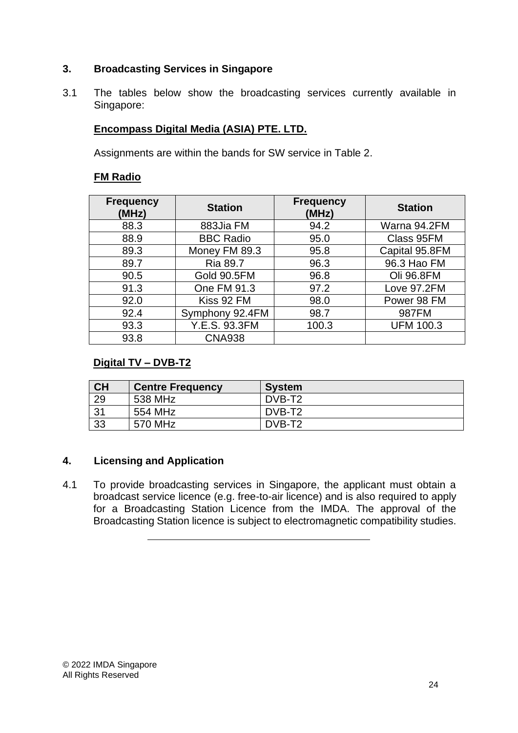# <span id="page-31-0"></span>**3. Broadcasting Services in Singapore**

3.1 The tables below show the broadcasting services currently available in Singapore:

# **Encompass Digital Media (ASIA) PTE. LTD.**

Assignments are within the bands for SW service in Table 2.

# **FM Radio**

| <b>Frequency</b><br>(MHz) | <b>Station</b>   | <b>Frequency</b><br>(MHz) | <b>Station</b>   |
|---------------------------|------------------|---------------------------|------------------|
| 88.3                      | 883Jia FM        | 94.2                      | Warna 94.2FM     |
| 88.9                      | <b>BBC Radio</b> | 95.0                      | Class 95FM       |
| 89.3                      | Money FM 89.3    | 95.8                      | Capital 95.8FM   |
| 89.7                      | <b>Ria 89.7</b>  | 96.3                      | 96.3 Hao FM      |
| 90.5                      | Gold 90.5FM      | 96.8                      | Oli 96.8FM       |
| 91.3                      | One FM 91.3      | 97.2                      | Love 97.2FM      |
| 92.0                      | Kiss 92 FM       | 98.0                      | Power 98 FM      |
| 92.4                      | Symphony 92.4FM  | 98.7                      | 987FM            |
| 93.3                      | Y.E.S. 93.3FM    | 100.3                     | <b>UFM 100.3</b> |
| 93.8                      | <b>CNA938</b>    |                           |                  |

# **Digital TV – DVB-T2**

| <b>CH</b> | <b>Centre Frequency</b> | System             |
|-----------|-------------------------|--------------------|
| 29        | 538 MHz                 | DVB-T <sub>2</sub> |
| 31        | 554 MHz                 | DVB-T <sub>2</sub> |
| 33        | 570 MHz                 | DVB-T <sub>2</sub> |

# <span id="page-31-1"></span>**4. Licensing and Application**

4.1 To provide broadcasting services in Singapore, the applicant must obtain a broadcast service licence (e.g. free-to-air licence) and is also required to apply for a Broadcasting Station Licence from the IMDA. The approval of the Broadcasting Station licence is subject to electromagnetic compatibility studies.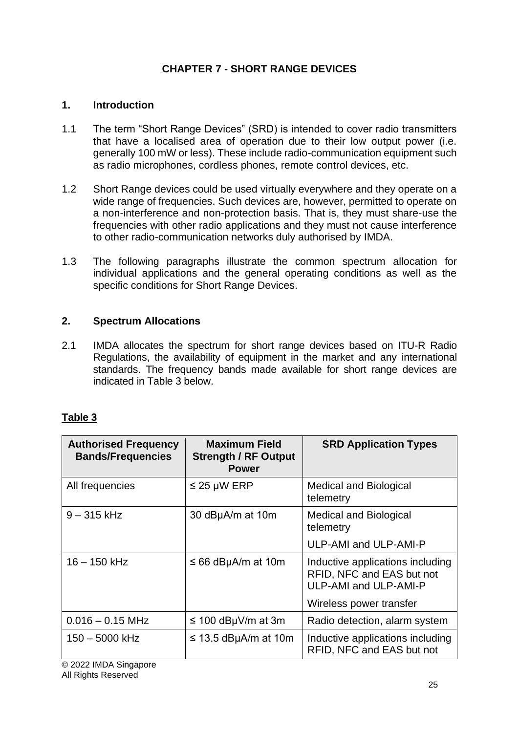# **CHAPTER 7 - SHORT RANGE DEVICES**

# <span id="page-32-1"></span><span id="page-32-0"></span>**1. Introduction**

- 1.1 The term "Short Range Devices" (SRD) is intended to cover radio transmitters that have a localised area of operation due to their low output power (i.e. generally 100 mW or less). These include radio-communication equipment such as radio microphones, cordless phones, remote control devices, etc.
- 1.2 Short Range devices could be used virtually everywhere and they operate on a wide range of frequencies. Such devices are, however, permitted to operate on a non-interference and non-protection basis. That is, they must share-use the frequencies with other radio applications and they must not cause interference to other radio-communication networks duly authorised by IMDA.
- 1.3 The following paragraphs illustrate the common spectrum allocation for individual applications and the general operating conditions as well as the specific conditions for Short Range Devices.

# <span id="page-32-2"></span>**2. Spectrum Allocations**

2.1 IMDA allocates the spectrum for short range devices based on ITU-R Radio Regulations, the availability of equipment in the market and any international standards. The frequency bands made available for short range devices are indicated in Table 3 below.

# **Table 3**

| <b>Authorised Frequency</b><br><b>Bands/Frequencies</b> | <b>Maximum Field</b><br><b>Strength / RF Output</b><br><b>Power</b> | <b>SRD Application Types</b>                                                                                             |
|---------------------------------------------------------|---------------------------------------------------------------------|--------------------------------------------------------------------------------------------------------------------------|
| All frequencies                                         | $\leq$ 25 µW ERP                                                    | <b>Medical and Biological</b><br>telemetry                                                                               |
| $9 - 315$ kHz                                           | 30 dBµA/m at 10m                                                    | <b>Medical and Biological</b><br>telemetry                                                                               |
|                                                         |                                                                     | ULP-AMI and ULP-AMI-P                                                                                                    |
| $16 - 150$ kHz                                          | $\leq 66$ dBµA/m at 10m                                             | Inductive applications including<br>RFID, NFC and EAS but not<br><b>ULP-AMI and ULP-AMI-P</b><br>Wireless power transfer |
|                                                         |                                                                     |                                                                                                                          |
| $0.016 - 0.15$ MHz                                      | $\leq$ 100 dBµV/m at 3m                                             | Radio detection, alarm system                                                                                            |
| 150 - 5000 kHz                                          | $\leq$ 13.5 dBµA/m at 10m                                           | Inductive applications including<br>RFID, NFC and EAS but not                                                            |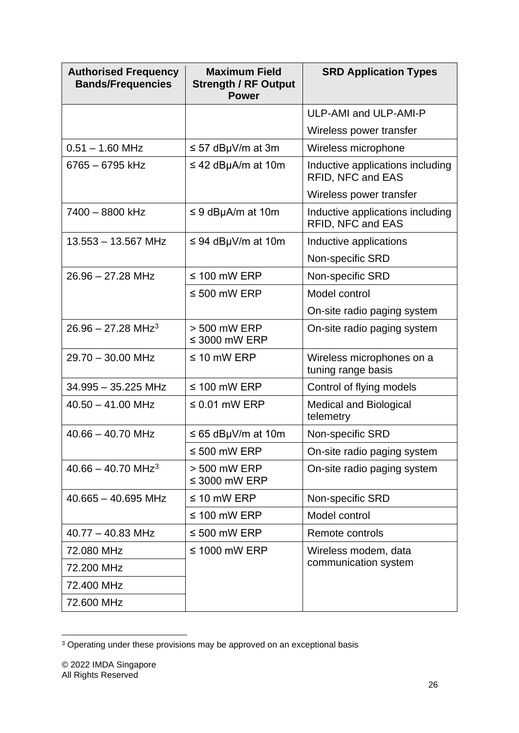| <b>Authorised Frequency</b><br><b>Bands/Frequencies</b> | <b>Maximum Field</b><br><b>Strength / RF Output</b><br><b>Power</b> | <b>SRD Application Types</b>                          |
|---------------------------------------------------------|---------------------------------------------------------------------|-------------------------------------------------------|
|                                                         |                                                                     | ULP-AMI and ULP-AMI-P                                 |
|                                                         |                                                                     | Wireless power transfer                               |
| $0.51 - 1.60$ MHz                                       | $\leq$ 57 dBµV/m at 3m                                              | Wireless microphone                                   |
| 6765 - 6795 kHz                                         | $\leq$ 42 dBµA/m at 10m                                             | Inductive applications including<br>RFID, NFC and EAS |
|                                                         |                                                                     | Wireless power transfer                               |
| 7400 - 8800 kHz                                         | $\leq$ 9 dBµA/m at 10m                                              | Inductive applications including<br>RFID, NFC and EAS |
| $13.553 - 13.567$ MHz                                   | $\leq$ 94 dBµV/m at 10m                                             | Inductive applications                                |
|                                                         |                                                                     | Non-specific SRD                                      |
| $26.96 - 27.28$ MHz                                     | $\leq$ 100 mW ERP                                                   | Non-specific SRD                                      |
|                                                         | $\leq 500$ mW ERP                                                   | Model control                                         |
|                                                         |                                                                     | On-site radio paging system                           |
| $26.96 - 27.28$ MHz <sup>3</sup>                        | > 500 mW ERP<br>$\leq$ 3000 mW ERP                                  | On-site radio paging system                           |
| 29.70 - 30.00 MHz                                       | $\leq$ 10 mW ERP                                                    | Wireless microphones on a<br>tuning range basis       |
| 34.995 - 35.225 MHz                                     | $\leq$ 100 mW ERP                                                   | Control of flying models                              |
| $40.50 - 41.00$ MHz                                     | $\leq$ 0.01 mW ERP                                                  | <b>Medical and Biological</b><br>telemetry            |
| $40.66 - 40.70$ MHz                                     | $\leq$ 65 dBµV/m at 10m                                             | Non-specific SRD                                      |
|                                                         | $\leq 500$ mW ERP                                                   | On-site radio paging system                           |
| $40.66 - 40.70$ MHz <sup>3</sup>                        | > 500 mW ERP<br>$\leq$ 3000 mW ERP                                  | On-site radio paging system                           |
| $40.665 - 40.695$ MHz                                   | $\leq$ 10 mW ERP                                                    | Non-specific SRD                                      |
|                                                         | $\leq$ 100 mW ERP                                                   | Model control                                         |
| $40.77 - 40.83$ MHz                                     | $\leq 500$ mW ERP                                                   | Remote controls                                       |
| 72.080 MHz                                              | $\leq$ 1000 mW ERP                                                  | Wireless modem, data                                  |
| 72.200 MHz                                              |                                                                     | communication system                                  |
| 72.400 MHz                                              |                                                                     |                                                       |
| 72.600 MHz                                              |                                                                     |                                                       |

<sup>&</sup>lt;sup>3</sup> Operating under these provisions may be approved on an exceptional basis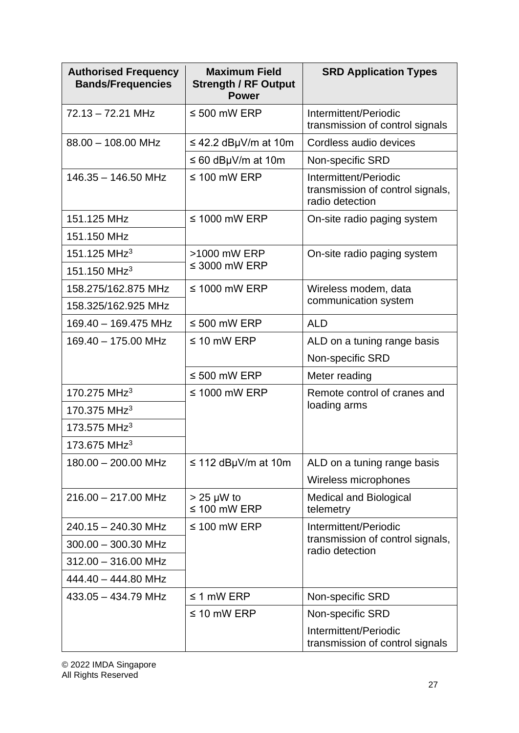| <b>Authorised Frequency</b><br><b>Bands/Frequencies</b> | <b>Maximum Field</b><br><b>Strength / RF Output</b><br><b>Power</b> | <b>SRD Application Types</b>                                                 |
|---------------------------------------------------------|---------------------------------------------------------------------|------------------------------------------------------------------------------|
| $72.13 - 72.21$ MHz                                     | $\leq 500$ mW ERP                                                   | Intermittent/Periodic<br>transmission of control signals                     |
| $88.00 - 108.00$ MHz                                    | $\leq$ 42.2 dBµV/m at 10m                                           | Cordless audio devices                                                       |
|                                                         | $\leq 60$ dBµV/m at 10m                                             | Non-specific SRD                                                             |
| $146.35 - 146.50$ MHz                                   | $\leq$ 100 mW ERP                                                   | Intermittent/Periodic<br>transmission of control signals,<br>radio detection |
| 151.125 MHz                                             | $\leq$ 1000 mW ERP                                                  | On-site radio paging system                                                  |
| 151.150 MHz                                             |                                                                     |                                                                              |
| 151.125 MHz <sup>3</sup>                                | >1000 mW ERP                                                        | On-site radio paging system                                                  |
| 151.150 MHz <sup>3</sup>                                | $\leq$ 3000 mW ERP                                                  |                                                                              |
| 158.275/162.875 MHz                                     | $\leq$ 1000 mW ERP                                                  | Wireless modem, data                                                         |
| 158.325/162.925 MHz                                     |                                                                     | communication system                                                         |
| 169.40 - 169.475 MHz                                    | $\leq 500$ mW ERP                                                   | <b>ALD</b>                                                                   |
| 169.40 - 175.00 MHz                                     | $\leq$ 10 mW ERP                                                    | ALD on a tuning range basis                                                  |
|                                                         |                                                                     | Non-specific SRD                                                             |
|                                                         | $\leq 500$ mW ERP                                                   | Meter reading                                                                |
| 170.275 MHz <sup>3</sup>                                | $\leq$ 1000 mW ERP                                                  | Remote control of cranes and                                                 |
| 170.375 MHz <sup>3</sup>                                |                                                                     | loading arms                                                                 |
| 173.575 MHz <sup>3</sup>                                |                                                                     |                                                                              |
| 173.675 MHz <sup>3</sup>                                |                                                                     |                                                                              |
| 180.00 - 200.00 MHz                                     | $\leq$ 112 dBµV/m at 10m                                            | ALD on a tuning range basis                                                  |
|                                                         |                                                                     | Wireless microphones                                                         |
| $216.00 - 217.00$ MHz                                   | $> 25 \mu W$ to<br>$\leq 100$ mW ERP                                | <b>Medical and Biological</b><br>telemetry                                   |
| 240.15 - 240.30 MHz                                     | $\leq$ 100 mW ERP                                                   | Intermittent/Periodic                                                        |
| $300.00 - 300.30$ MHz                                   |                                                                     | transmission of control signals,<br>radio detection                          |
| $312.00 - 316.00$ MHz                                   |                                                                     |                                                                              |
| 444.40 - 444.80 MHz                                     |                                                                     |                                                                              |
| 433.05 - 434.79 MHz                                     | $\leq$ 1 mW ERP                                                     | Non-specific SRD                                                             |
|                                                         | $\leq$ 10 mW ERP                                                    | Non-specific SRD                                                             |
|                                                         |                                                                     | Intermittent/Periodic<br>transmission of control signals                     |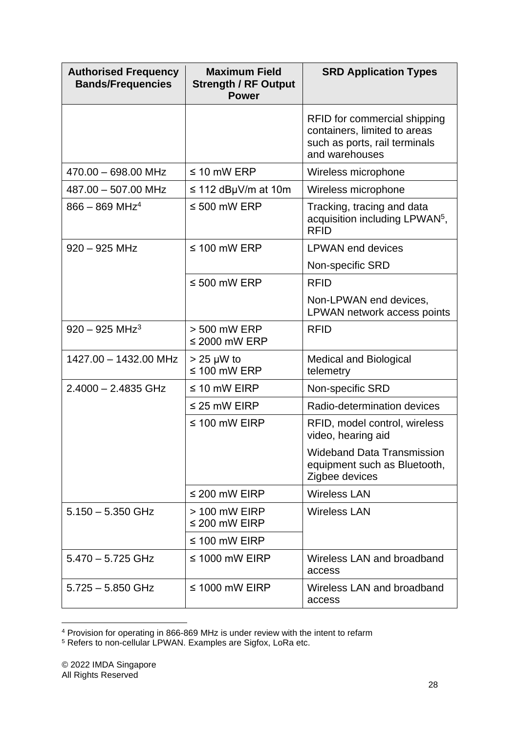| <b>Authorised Frequency</b><br><b>Bands/Frequencies</b> | <b>Maximum Field</b><br><b>Strength / RF Output</b><br><b>Power</b> | <b>SRD Application Types</b>                                                                                    |
|---------------------------------------------------------|---------------------------------------------------------------------|-----------------------------------------------------------------------------------------------------------------|
|                                                         |                                                                     | RFID for commercial shipping<br>containers, limited to areas<br>such as ports, rail terminals<br>and warehouses |
| 470.00 - 698.00 MHz                                     | $\leq 10$ mW ERP                                                    | Wireless microphone                                                                                             |
| 487.00 - 507.00 MHz                                     | $\leq$ 112 dBµV/m at 10m                                            | Wireless microphone                                                                                             |
| $866 - 869$ MHz <sup>4</sup>                            | $\leq 500$ mW ERP                                                   | Tracking, tracing and data<br>acquisition including LPWAN <sup>5</sup> ,<br><b>RFID</b>                         |
| $920 - 925$ MHz                                         | $\leq$ 100 mW ERP                                                   | <b>LPWAN</b> end devices                                                                                        |
|                                                         |                                                                     | Non-specific SRD                                                                                                |
|                                                         | $\leq 500$ mW ERP                                                   | <b>RFID</b>                                                                                                     |
|                                                         |                                                                     | Non-LPWAN end devices,<br>LPWAN network access points                                                           |
| $920 - 925$ MHz <sup>3</sup>                            | > 500 mW ERP<br>$\leq$ 2000 mW ERP                                  | <b>RFID</b>                                                                                                     |
| 1427.00 - 1432.00 MHz                                   | $> 25 \mu W$ to<br>$\leq$ 100 mW ERP                                | <b>Medical and Biological</b><br>telemetry                                                                      |
| $2.4000 - 2.4835$ GHz                                   | $\leq$ 10 mW EIRP                                                   | Non-specific SRD                                                                                                |
|                                                         | $\leq$ 25 mW EIRP                                                   | Radio-determination devices                                                                                     |
|                                                         | $\leq$ 100 mW EIRP                                                  | RFID, model control, wireless<br>video, hearing aid                                                             |
|                                                         |                                                                     | <b>Wideband Data Transmission</b><br>equipment such as Bluetooth,<br>Zigbee devices                             |
|                                                         | $\leq$ 200 mW EIRP                                                  | <b>Wireless LAN</b>                                                                                             |
| $5.150 - 5.350$ GHz                                     | $>$ 100 mW EIRP<br>$\leq$ 200 mW EIRP                               | <b>Wireless LAN</b>                                                                                             |
|                                                         | $\leq$ 100 mW EIRP                                                  |                                                                                                                 |
| $5.470 - 5.725$ GHz                                     | $\leq$ 1000 mW EIRP                                                 | Wireless LAN and broadband<br>access                                                                            |
| $5.725 - 5.850$ GHz                                     | $\leq$ 1000 mW EIRP                                                 | Wireless LAN and broadband<br>access                                                                            |

<sup>&</sup>lt;sup>4</sup> Provision for operating in 866-869 MHz is under review with the intent to refarm

<sup>5</sup> Refers to non-cellular LPWAN. Examples are Sigfox, LoRa etc.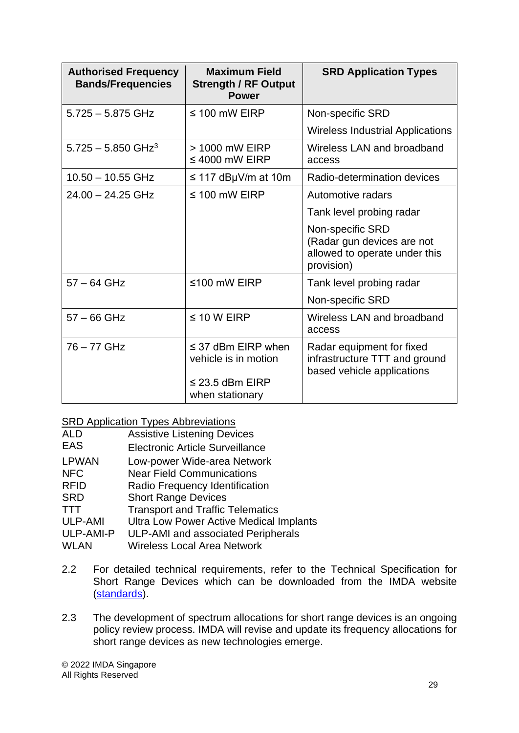| <b>Authorised Frequency</b><br><b>Bands/Frequencies</b> | <b>Maximum Field</b><br><b>Strength / RF Output</b><br><b>Power</b> | <b>SRD Application Types</b>                                                                  |
|---------------------------------------------------------|---------------------------------------------------------------------|-----------------------------------------------------------------------------------------------|
| $5.725 - 5.875$ GHz                                     | $\leq$ 100 mW EIRP                                                  | Non-specific SRD                                                                              |
|                                                         |                                                                     | <b>Wireless Industrial Applications</b>                                                       |
| $5.725 - 5.850$ GHz <sup>3</sup>                        | > 1000 mW EIRP<br>$\leq 4000$ mW EIRP                               | Wireless LAN and broadband<br>access                                                          |
| $10.50 - 10.55$ GHz                                     | $\leq$ 117 dBµV/m at 10m                                            | Radio-determination devices                                                                   |
| $24.00 - 24.25$ GHz                                     | $\leq$ 100 mW EIRP                                                  | Automotive radars                                                                             |
|                                                         |                                                                     | Tank level probing radar                                                                      |
|                                                         |                                                                     | Non-specific SRD<br>(Radar gun devices are not<br>allowed to operate under this<br>provision) |
| $57 - 64$ GHz                                           | ≤100 mW EIRP                                                        | Tank level probing radar                                                                      |
|                                                         |                                                                     | Non-specific SRD                                                                              |
| $57 - 66$ GHz                                           | $\leq 10$ W EIRP                                                    | Wireless LAN and broadband<br>access                                                          |
| 76 - 77 GHz                                             | $\leq$ 37 dBm EIRP when<br>vehicle is in motion                     | Radar equipment for fixed<br>infrastructure TTT and ground<br>based vehicle applications      |
|                                                         | $\leq$ 23.5 dBm EIRP<br>when stationary                             |                                                                                               |

### SRD Application Types Abbreviations

- ALD Assistive Listening Devices
- EAS Electronic Article Surveillance
- LPWAN Low-power Wide-area Network
- NFC Near Field Communications
- RFID Radio Frequency Identification
- SRD Short Range Devices
- TTT Transport and Traffic Telematics<br>ULP-AMI Ultra Low Power Active Medical I
- Ultra Low Power Active Medical Implants
- ULP-AMI-P ULP-AMI and associated Peripherals
- WLAN Wireless Local Area Network
- 2.2 For detailed technical requirements, refer to the Technical Specification for Short Range Devices which can be downloaded from the IMDA website [\(standards\)](https://www.imda.gov.sg/-/media/Imda/Files/Regulation-Licensing-and-Consultations/ICT-Standards/Telecommunication-Standards/Radio-Comms/IMDATSSRD.pdf?la=en).
- 2.3 The development of spectrum allocations for short range devices is an ongoing policy review process. IMDA will revise and update its frequency allocations for short range devices as new technologies emerge.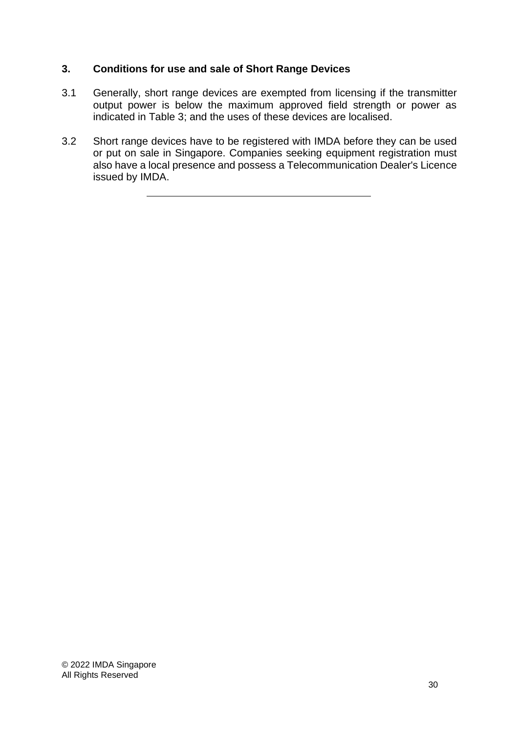# **3. Conditions for use and sale of Short Range Devices**

- 3.1 Generally, short range devices are exempted from licensing if the transmitter output power is below the maximum approved field strength or power as indicated in Table 3; and the uses of these devices are localised.
- 3.2 Short range devices have to be registered with IMDA before they can be used or put on sale in Singapore. Companies seeking equipment registration must also have a local presence and possess a Telecommunication Dealer's Licence issued by IMDA.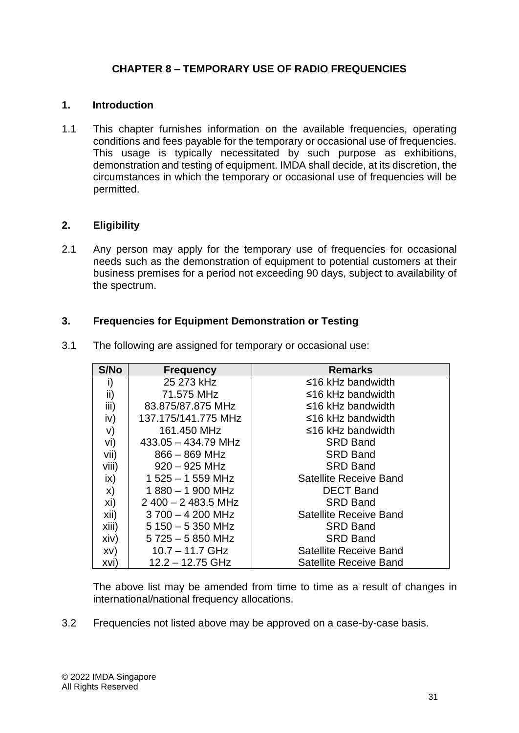# **CHAPTER 8 – TEMPORARY USE OF RADIO FREQUENCIES**

# **1. Introduction**

1.1 This chapter furnishes information on the available frequencies, operating conditions and fees payable for the temporary or occasional use of frequencies. This usage is typically necessitated by such purpose as exhibitions, demonstration and testing of equipment. IMDA shall decide, at its discretion, the circumstances in which the temporary or occasional use of frequencies will be permitted.

### **2. Eligibility**

2.1 Any person may apply for the temporary use of frequencies for occasional needs such as the demonstration of equipment to potential customers at their business premises for a period not exceeding 90 days, subject to availability of the spectrum.

### **3. Frequencies for Equipment Demonstration or Testing**

| S/No  | <b>Frequency</b>      | <b>Remarks</b>                |
|-------|-----------------------|-------------------------------|
| i)    | 25 273 kHz            | $\leq$ 16 kHz bandwidth       |
| ii)   | 71.575 MHz            | $\leq$ 16 kHz bandwidth       |
| iii)  | 83.875/87.875 MHz     | $\leq$ 16 kHz bandwidth       |
| iv)   | 137.175/141.775 MHz   | ≤16 kHz bandwidth             |
| V)    | 161.450 MHz           | $\leq$ 16 kHz bandwidth       |
| vi)   | $433.05 - 434.79$ MHz | <b>SRD Band</b>               |
| vii)  | $866 - 869$ MHz       | <b>SRD Band</b>               |
| viii) | $920 - 925$ MHz       | <b>SRD Band</b>               |
| ix)   | $1525 - 1559$ MHz     | Satellite Receive Band        |
| X)    | $1880 - 1900$ MHz     | <b>DECT Band</b>              |
| xi)   | $2400 - 2483.5$ MHz   | <b>SRD Band</b>               |
| xii)  | $3700 - 4200$ MHz     | Satellite Receive Band        |
| xiii) | $5150 - 5350$ MHz     | <b>SRD Band</b>               |
| xiv)  | $5725 - 5850$ MHz     | <b>SRD Band</b>               |
| XV)   | $10.7 - 11.7$ GHz     | <b>Satellite Receive Band</b> |
| xvi)  | $12.2 - 12.75$ GHz    | <b>Satellite Receive Band</b> |

3.1 The following are assigned for temporary or occasional use:

The above list may be amended from time to time as a result of changes in international/national frequency allocations.

3.2 Frequencies not listed above may be approved on a case-by-case basis.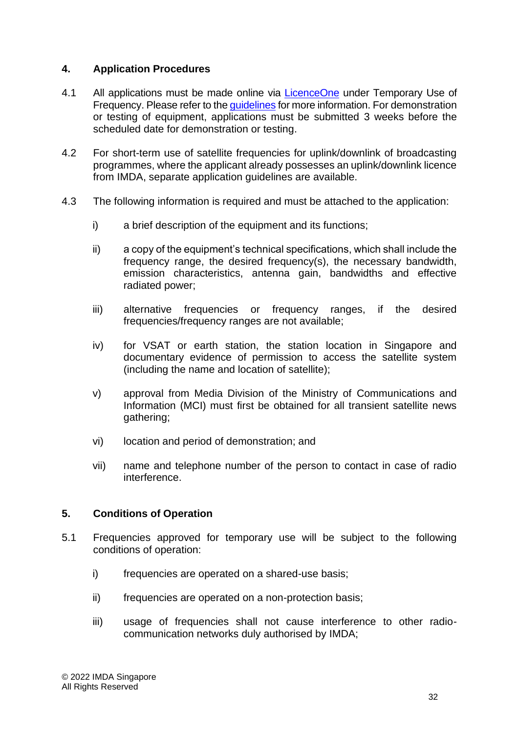# **4. Application Procedures**

- 4.1 All applications must be made online via [LicenceOne](https://licence1.business.gov.sg/) under Temporary Use of Frequency. Please refer to the quidelines for more information. For demonstration or testing of equipment, applications must be submitted 3 weeks before the scheduled date for demonstration or testing.
- 4.2 For short-term use of satellite frequencies for uplink/downlink of broadcasting programmes, where the applicant already possesses an uplink/downlink licence from IMDA, separate application guidelines are available.
- 4.3 The following information is required and must be attached to the application:
	- i) a brief description of the equipment and its functions;
	- ii) a copy of the equipment's technical specifications, which shall include the frequency range, the desired frequency(s), the necessary bandwidth, emission characteristics, antenna gain, bandwidths and effective radiated power;
	- iii) alternative frequencies or frequency ranges, if the desired frequencies/frequency ranges are not available;
	- iv) for VSAT or earth station, the station location in Singapore and documentary evidence of permission to access the satellite system (including the name and location of satellite);
	- v) approval from Media Division of the Ministry of Communications and Information (MCI) must first be obtained for all transient satellite news gathering;
	- vi) location and period of demonstration; and
	- vii) name and telephone number of the person to contact in case of radio interference.

### **5. Conditions of Operation**

- 5.1 Frequencies approved for temporary use will be subject to the following conditions of operation:
	- i) frequencies are operated on a shared-use basis;
	- ii) frequencies are operated on a non-protection basis;
	- iii) usage of frequencies shall not cause interference to other radiocommunication networks duly authorised by IMDA;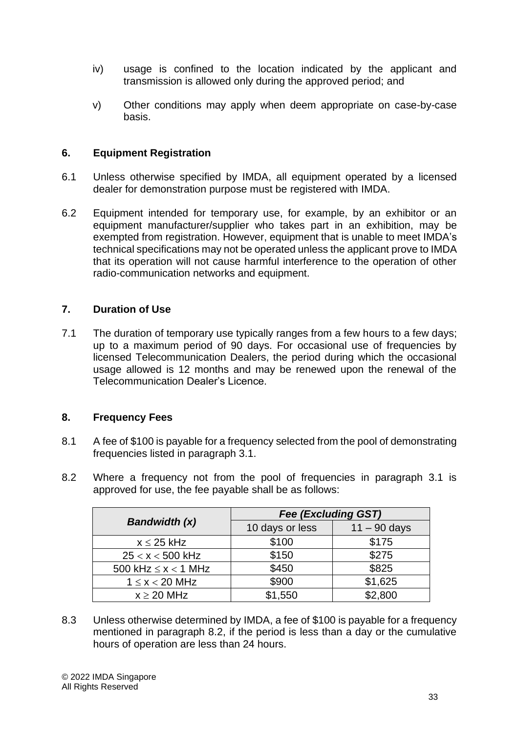- iv) usage is confined to the location indicated by the applicant and transmission is allowed only during the approved period; and
- v) Other conditions may apply when deem appropriate on case-by-case basis.

# **6. Equipment Registration**

- 6.1 Unless otherwise specified by IMDA, all equipment operated by a licensed dealer for demonstration purpose must be registered with IMDA.
- 6.2 Equipment intended for temporary use, for example, by an exhibitor or an equipment manufacturer/supplier who takes part in an exhibition, may be exempted from registration. However, equipment that is unable to meet IMDA's technical specifications may not be operated unless the applicant prove to IMDA that its operation will not cause harmful interference to the operation of other radio-communication networks and equipment.

# **7. Duration of Use**

7.1 The duration of temporary use typically ranges from a few hours to a few days; up to a maximum period of 90 days. For occasional use of frequencies by licensed Telecommunication Dealers, the period during which the occasional usage allowed is 12 months and may be renewed upon the renewal of the Telecommunication Dealer's Licence.

# **8. Frequency Fees**

- 8.1 A fee of \$100 is payable for a frequency selected from the pool of demonstrating frequencies listed in paragraph 3.1.
- 8.2 Where a frequency not from the pool of frequencies in paragraph 3.1 is approved for use, the fee payable shall be as follows:

|                            | <b>Fee (Excluding GST)</b> |                |  |
|----------------------------|----------------------------|----------------|--|
| <b>Bandwidth (x)</b>       | 10 days or less            | $11 - 90$ days |  |
| $x \leq 25$ kHz            | \$100                      | \$175          |  |
| $25 < x < 500$ kHz         | \$150                      | \$275          |  |
| 500 kHz $\leq$ x $<$ 1 MHz | \$450                      | \$825          |  |
| $1 \leq x < 20$ MHz        | \$900                      | \$1,625        |  |
| $x \geq 20$ MHz            | \$1,550                    | \$2,800        |  |

8.3 Unless otherwise determined by IMDA, a fee of \$100 is payable for a frequency mentioned in paragraph 8.2, if the period is less than a day or the cumulative hours of operation are less than 24 hours.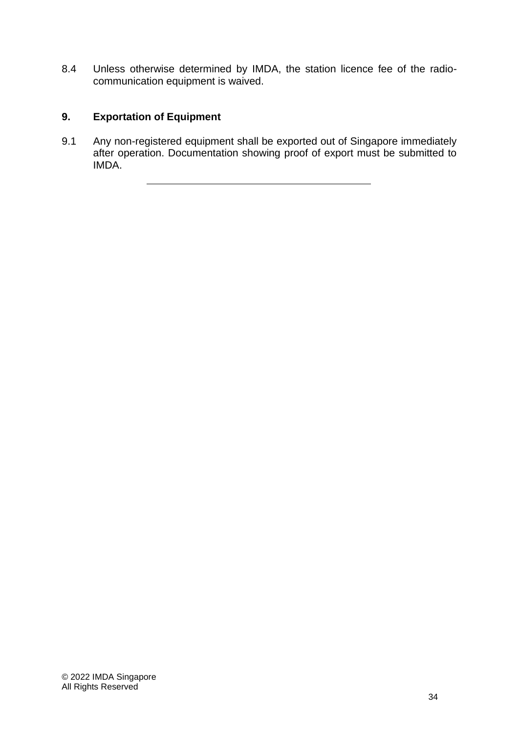8.4 Unless otherwise determined by IMDA, the station licence fee of the radiocommunication equipment is waived.

# **9. Exportation of Equipment**

9.1 Any non-registered equipment shall be exported out of Singapore immediately after operation. Documentation showing proof of export must be submitted to IMDA.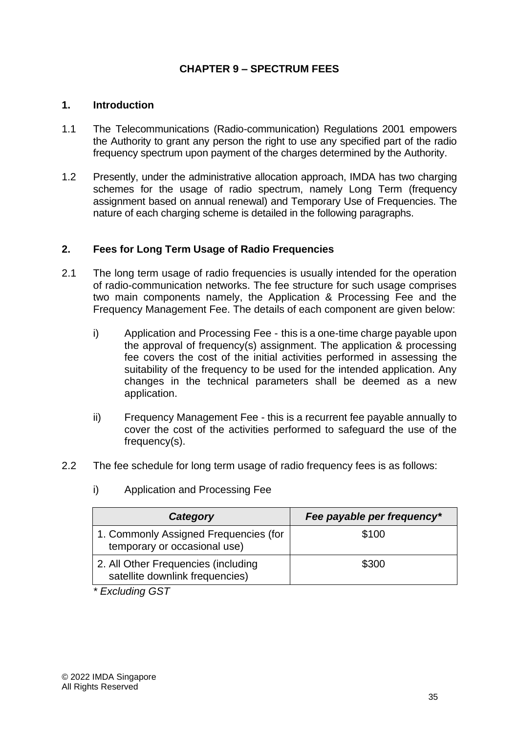# **CHAPTER 9 – SPECTRUM FEES**

# **1. Introduction**

- 1.1 The Telecommunications (Radio-communication) Regulations 2001 empowers the Authority to grant any person the right to use any specified part of the radio frequency spectrum upon payment of the charges determined by the Authority.
- 1.2 Presently, under the administrative allocation approach, IMDA has two charging schemes for the usage of radio spectrum, namely Long Term (frequency assignment based on annual renewal) and Temporary Use of Frequencies. The nature of each charging scheme is detailed in the following paragraphs.

# **2. Fees for Long Term Usage of Radio Frequencies**

- 2.1 The long term usage of radio frequencies is usually intended for the operation of radio-communication networks. The fee structure for such usage comprises two main components namely, the Application & Processing Fee and the Frequency Management Fee. The details of each component are given below:
	- i) Application and Processing Fee this is a one-time charge payable upon the approval of frequency(s) assignment. The application & processing fee covers the cost of the initial activities performed in assessing the suitability of the frequency to be used for the intended application. Any changes in the technical parameters shall be deemed as a new application.
	- ii) Frequency Management Fee this is a recurrent fee payable annually to cover the cost of the activities performed to safeguard the use of the frequency(s).
- 2.2 The fee schedule for long term usage of radio frequency fees is as follows:

| Category                                                               | Fee payable per frequency* |
|------------------------------------------------------------------------|----------------------------|
| 1. Commonly Assigned Frequencies (for<br>temporary or occasional use)  | \$100                      |
| 2. All Other Frequencies (including<br>satellite downlink frequencies) | \$300                      |

i) Application and Processing Fee

*\* Excluding GST*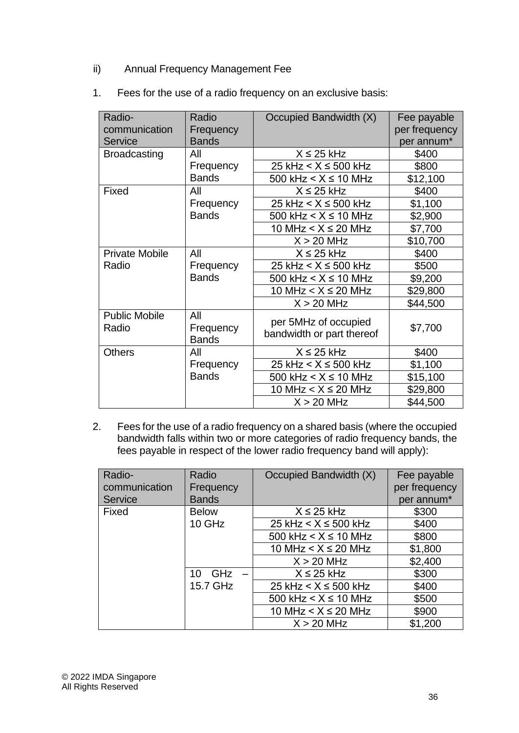ii) Annual Frequency Management Fee

| Radio-<br>communication<br><b>Service</b> | Radio<br>Frequency<br><b>Bands</b> | Occupied Bandwidth (X)                            | Fee payable<br>per frequency<br>per annum* |
|-------------------------------------------|------------------------------------|---------------------------------------------------|--------------------------------------------|
| <b>Broadcasting</b>                       | All                                | $X \leq 25$ kHz                                   | \$400                                      |
|                                           | Frequency                          | 25 kHz $< X \le 500$ kHz                          | \$800                                      |
|                                           | <b>Bands</b>                       | 500 kHz $< X \le 10$ MHz                          | \$12,100                                   |
| Fixed                                     | All                                | $X \leq 25$ kHz                                   | \$400                                      |
|                                           | Frequency                          | 25 kHz < $X \le 500$ kHz                          | \$1,100                                    |
|                                           | <b>Bands</b>                       | 500 kHz $\lt$ X $\leq$ 10 MHz                     | \$2,900                                    |
|                                           |                                    | 10 MHz < $X \le 20$ MHz                           | \$7,700                                    |
|                                           |                                    | $X > 20$ MHz                                      | \$10,700                                   |
| <b>Private Mobile</b>                     | All                                | $X \leq 25$ kHz                                   | \$400                                      |
| Radio                                     | Frequency                          | 25 kHz $< X \le 500$ kHz                          | \$500                                      |
|                                           | <b>Bands</b>                       | 500 kHz $\leq$ X $\leq$ 10 MHz                    | \$9,200                                    |
|                                           |                                    | 10 MHz $< X \le 20$ MHz                           | \$29,800                                   |
|                                           |                                    | $X > 20$ MHz                                      | \$44,500                                   |
| <b>Public Mobile</b><br>Radio             | All<br>Frequency<br><b>Bands</b>   | per 5MHz of occupied<br>bandwidth or part thereof | \$7,700                                    |
| <b>Others</b>                             | All                                | $X \leq 25$ kHz                                   | \$400                                      |
|                                           | Frequency                          | 25 kHz $< X \leq 500$ kHz                         | \$1,100                                    |
|                                           | <b>Bands</b>                       | 500 kHz $\lt$ X $\leq$ 10 MHz                     | \$15,100                                   |
|                                           |                                    | 10 MHz $< X \le 20$ MHz                           | \$29,800                                   |
|                                           |                                    | $X > 20$ MHz                                      | \$44,500                                   |

1. Fees for the use of a radio frequency on an exclusive basis:

2. Fees for the use of a radio frequency on a shared basis (where the occupied bandwidth falls within two or more categories of radio frequency bands, the fees payable in respect of the lower radio frequency band will apply):

| Radio-<br>communication | Radio<br>Frequency                    | Occupied Bandwidth (X)   | Fee payable<br>per frequency |
|-------------------------|---------------------------------------|--------------------------|------------------------------|
| Service                 | <b>Bands</b>                          |                          | per annum*                   |
| Fixed                   | <b>Below</b>                          | $X \leq 25$ kHz          | \$300                        |
|                         | 10 GHz                                | 25 kHz $< X \le 500$ kHz | \$400                        |
|                         |                                       | 500 kHz $< X \le 10$ MHz | \$800                        |
|                         |                                       | 10 MHz $< X \le 20$ MHz  | \$1,800                      |
|                         |                                       | $X > 20$ MHz             | \$2,400                      |
|                         | GHz<br>10<br>$\overline{\phantom{a}}$ | $X \leq 25$ kHz          | \$300                        |
|                         | 15.7 GHz                              | 25 kHz $< X \le 500$ kHz | \$400                        |
|                         |                                       | 500 kHz $< X \le 10$ MHz | \$500                        |
|                         |                                       | 10 MHz $< X \le 20$ MHz  | \$900                        |
|                         |                                       | $X > 20$ MHz             | \$1,200                      |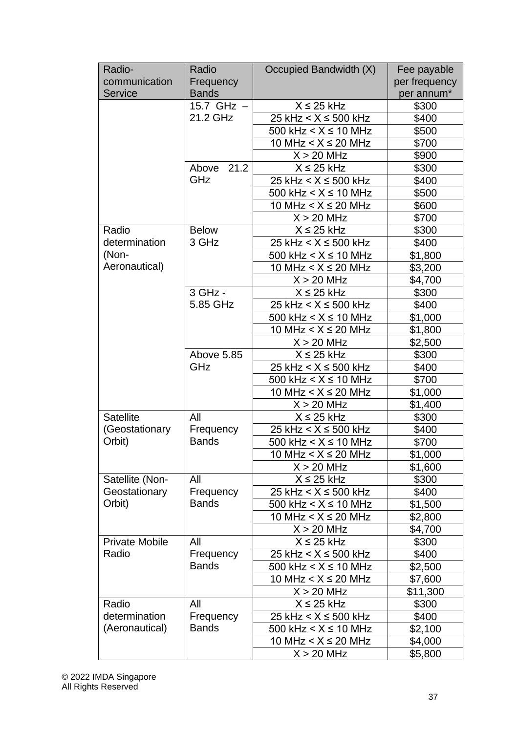| Radio-                | Radio         | Occupied Bandwidth (X)         | Fee payable   |
|-----------------------|---------------|--------------------------------|---------------|
| communication         | Frequency     |                                | per frequency |
| <b>Service</b>        | <b>Bands</b>  |                                | per annum*    |
|                       | 15.7 $GHz -$  | $X \leq 25$ kHz                | \$300         |
|                       | 21.2 GHz      | 25 kHz $< X \le 500$ kHz       | \$400         |
|                       |               | 500 kHz < $X \le 10$ MHz       | \$500         |
|                       |               | 10 MHz $< X \le 20$ MHz        | \$700         |
|                       |               | $X > 20$ MHz                   | \$900         |
|                       | 21.2<br>Above | $X \leq 25$ kHz                | \$300         |
|                       | GHz           | 25 kHz $< X \le 500$ kHz       | \$400         |
|                       |               | 500 kHz $< X \le 10$ MHz       | \$500         |
|                       |               | 10 MHz $< X \le 20$ MHz        | \$600         |
|                       |               | $X > 20$ MHz                   | \$700         |
| Radio                 | <b>Below</b>  | $X \leq 25$ kHz                | \$300         |
| determination         | 3 GHz         | 25 kHz $< X \le 500$ kHz       | \$400         |
| (Non-                 |               | 500 kHz $\leq$ X $\leq$ 10 MHz | \$1,800       |
| Aeronautical)         |               | 10 MHz < $X \le 20$ MHz        | \$3,200       |
|                       |               | $X > 20$ MHz                   | \$4,700       |
|                       | 3 GHz -       | $X \leq 25$ kHz                | \$300         |
|                       | 5.85 GHz      | 25 kHz $< X \le 500$ kHz       | \$400         |
|                       |               | 500 kHz $< X \le 10$ MHz       | \$1,000       |
|                       |               | 10 MHz < $X \le 20$ MHz        | \$1,800       |
|                       |               | $X > 20$ MHz                   | \$2,500       |
|                       | Above 5.85    | $X \leq 25$ kHz                | \$300         |
|                       | GHz           | 25 kHz < $X \le 500$ kHz       | \$400         |
|                       |               | 500 kHz $\lt$ $X \le 10$ MHz   | \$700         |
|                       |               | 10 MHz $< X \le 20$ MHz        | \$1,000       |
|                       |               | $X > 20$ MHz                   | \$1,400       |
| <b>Satellite</b>      | All           | $X \leq 25$ kHz                | \$300         |
| (Geostationary        | Frequency     | 25 kHz $< X \le 500$ kHz       | \$400         |
| Orbit)                | <b>Bands</b>  | 500 kHz < $X \le 10$ MHz       | \$700         |
|                       |               | 10 MHz < $X \le 20$ MHz        | \$1,000       |
|                       |               | $X > 20$ MHz                   | \$1,600       |
| Satellite (Non-       | All           | $X \leq 25$ kHz                | \$300         |
| Geostationary         | Frequency     | 25 kHz $< X \le 500$ kHz       | \$400         |
| Orbit)                | <b>Bands</b>  | 500 kHz $\leq$ X $\leq$ 10 MHz | \$1,500       |
|                       |               | 10 MHz $< X \le 20$ MHz        | \$2,800       |
|                       |               | $X > 20$ MHz                   | \$4,700       |
| <b>Private Mobile</b> | All           | $X \leq 25$ kHz                | \$300         |
| Radio                 | Frequency     | 25 kHz $< X \le 500$ kHz       | \$400         |
|                       | <b>Bands</b>  | 500 kHz $< X \le 10$ MHz       | \$2,500       |
|                       |               | 10 MHz $< X \le 20$ MHz        | \$7,600       |
|                       |               | $X > 20$ MHz                   | \$11,300      |
| Radio                 | All           | $X \leq 25$ kHz                | \$300         |
| determination         | Frequency     | 25 kHz $< X \le 500$ kHz       | \$400         |
| (Aeronautical)        | <b>Bands</b>  | 500 kHz $\lt$ X $\leq$ 10 MHz  | \$2,100       |
|                       |               | 10 MHz < $X \le 20$ MHz        | \$4,000       |
|                       |               | $X > 20$ MHz                   | \$5,800       |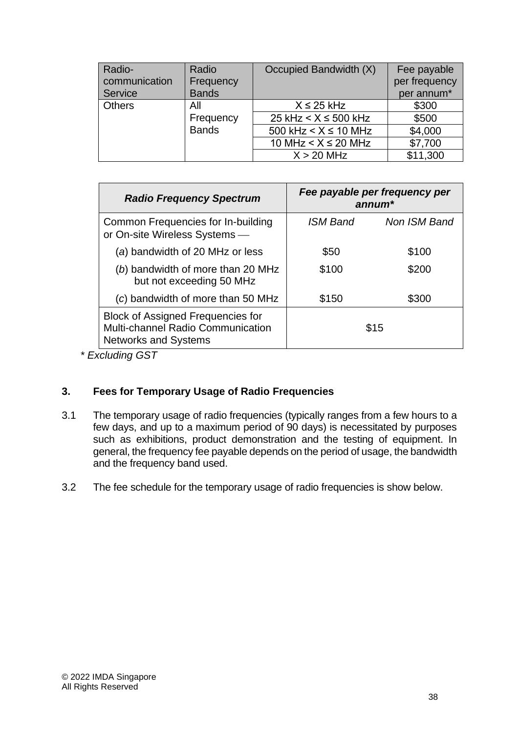| Radio-<br>communication<br><b>Service</b> | Radio<br>Frequency<br><b>Bands</b> | Occupied Bandwidth (X)   | Fee payable<br>per frequency<br>per annum* |
|-------------------------------------------|------------------------------------|--------------------------|--------------------------------------------|
| <b>Others</b>                             | All                                | $X \leq 25$ kHz          | \$300                                      |
|                                           | Frequency                          | 25 kHz $< X \le 500$ kHz | \$500                                      |
|                                           | <b>Bands</b>                       | 500 kHz $< X \le 10$ MHz | \$4,000                                    |
|                                           |                                    | 10 MHz $< X \le 20$ MHz  | \$7,700                                    |
|                                           |                                    | $X > 20$ MHz             | \$11,300                                   |

| <b>Radio Frequency Spectrum</b>                                                                              |                 | Fee payable per frequency per<br>$annum*$ |
|--------------------------------------------------------------------------------------------------------------|-----------------|-------------------------------------------|
| Common Frequencies for In-building<br>or On-site Wireless Systems -                                          | <b>ISM Band</b> | Non ISM Band                              |
| (a) bandwidth of 20 MHz or less                                                                              | \$50            | \$100                                     |
| (b) bandwidth of more than 20 MHz<br>but not exceeding 50 MHz                                                | \$100           | \$200                                     |
| (c) bandwidth of more than 50 MHz                                                                            | \$150           | \$300                                     |
| <b>Block of Assigned Frequencies for</b><br>Multi-channel Radio Communication<br><b>Networks and Systems</b> | \$15            |                                           |

*\* Excluding GST*

# **3. Fees for Temporary Usage of Radio Frequencies**

- 3.1 The temporary usage of radio frequencies (typically ranges from a few hours to a few days, and up to a maximum period of 90 days) is necessitated by purposes such as exhibitions, product demonstration and the testing of equipment. In general, the frequency fee payable depends on the period of usage, the bandwidth and the frequency band used.
- 3.2 The fee schedule for the temporary usage of radio frequencies is show below.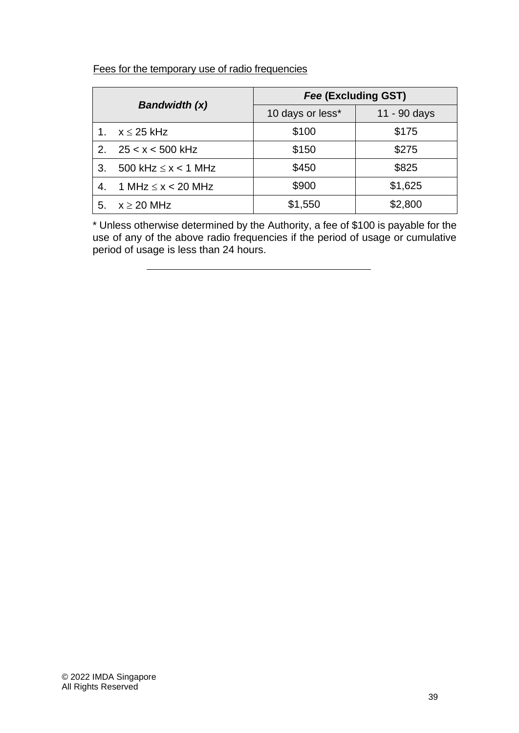# Fees for the temporary use of radio frequencies

| <b>Bandwidth (x)</b> |                            | Fee (Excluding GST) |              |  |
|----------------------|----------------------------|---------------------|--------------|--|
|                      |                            | 10 days or less*    | 11 - 90 days |  |
|                      | $x \leq 25$ kHz            | \$100               | \$175        |  |
| 2 <sub>1</sub>       | $25 < x < 500$ kHz         | \$150               | \$275        |  |
| 3.                   | 500 kHz $\leq$ x $<$ 1 MHz | \$450               | \$825        |  |
| 4.                   | 1 MHz $\leq x < 20$ MHz    | \$900               | \$1,625      |  |
| 5.                   | $x \ge 20$ MHz             | \$1,550             | \$2,800      |  |

\* Unless otherwise determined by the Authority, a fee of \$100 is payable for the use of any of the above radio frequencies if the period of usage or cumulative period of usage is less than 24 hours.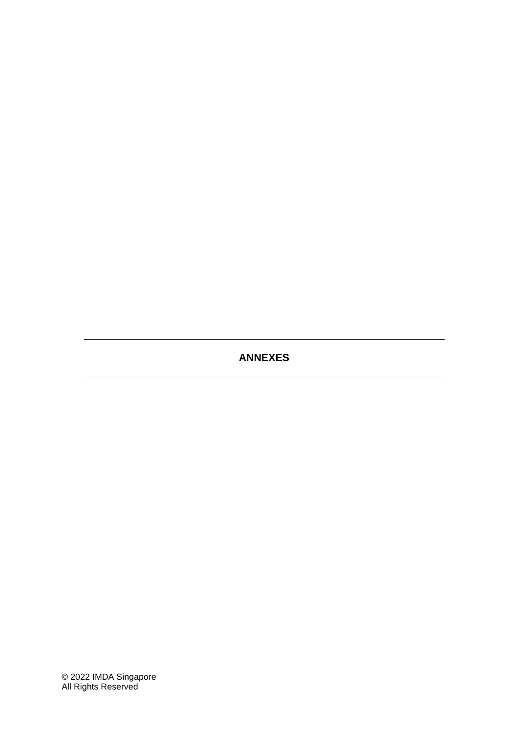# **ANNEXES**

© 2022 IMDA Singapore All Rights Reserved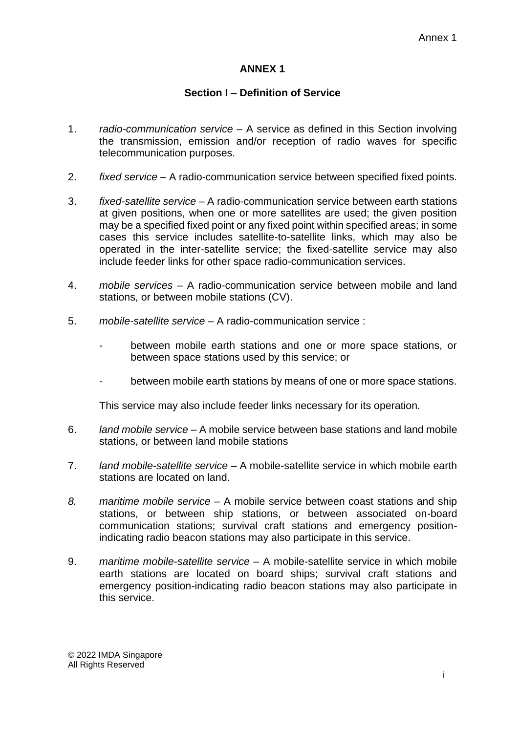# **ANNEX 1**

### **Section I – Definition of Service**

- 1. *radio-communication service* A service as defined in this Section involving the transmission, emission and/or reception of radio waves for specific telecommunication purposes.
- 2. *fixed service* A radio-communication service between specified fixed points.
- 3. *fixed-satellite service* A radio-communication service between earth stations at given positions, when one or more satellites are used; the given position may be a specified fixed point or any fixed point within specified areas; in some cases this service includes satellite-to-satellite links, which may also be operated in the inter-satellite service; the fixed-satellite service may also include feeder links for other space radio-communication services.
- 4. *mobile services* A radio-communication service between mobile and land stations, or between mobile stations (CV).
- 5. *mobile-satellite service* A radio-communication service :
	- between mobile earth stations and one or more space stations, or between space stations used by this service; or
	- between mobile earth stations by means of one or more space stations.

This service may also include feeder links necessary for its operation.

- 6. *land mobile service* A mobile service between base stations and land mobile stations, or between land mobile stations
- 7. *land mobile-satellite service* A mobile-satellite service in which mobile earth stations are located on land.
- *8. maritime mobile service* A mobile service between coast stations and ship stations, or between ship stations, or between associated on-board communication stations; survival craft stations and emergency positionindicating radio beacon stations may also participate in this service.
- 9. *maritime mobile-satellite service* A mobile-satellite service in which mobile earth stations are located on board ships; survival craft stations and emergency position-indicating radio beacon stations may also participate in this service.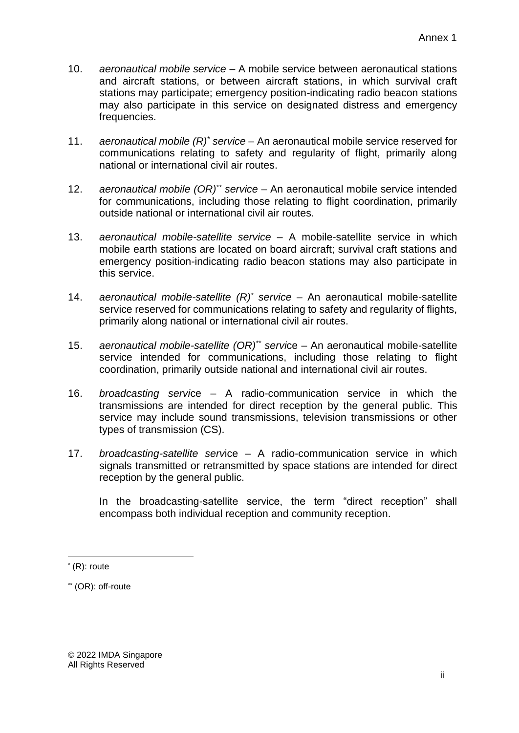- 10. *aeronautical mobile service* A mobile service between aeronautical stations and aircraft stations, or between aircraft stations, in which survival craft stations may participate; emergency position-indicating radio beacon stations may also participate in this service on designated distress and emergency frequencies.
- 11. *aeronautical mobile (R)\* service* An aeronautical mobile service reserved for communications relating to safety and regularity of flight, primarily along national or international civil air routes.
- 12. *aeronautical mobile (OR)\*\* service* An aeronautical mobile service intended for communications, including those relating to flight coordination, primarily outside national or international civil air routes.
- 13. *aeronautical mobile-satellite service* A mobile-satellite service in which mobile earth stations are located on board aircraft; survival craft stations and emergency position-indicating radio beacon stations may also participate in this service.
- 14. *aeronautical mobile-satellite (R)\* service* An aeronautical mobile-satellite service reserved for communications relating to safety and regularity of flights, primarily along national or international civil air routes.
- 15. *aeronautical mobile-satellite (OR)\*\* servi*ce An aeronautical mobile-satellite service intended for communications, including those relating to flight coordination, primarily outside national and international civil air routes.
- 16. *broadcasting servi*ce A radio-communication service in which the transmissions are intended for direct reception by the general public. This service may include sound transmissions, television transmissions or other types of transmission (CS).
- 17. *broadcasting-satellite serv*ice A radio-communication service in which signals transmitted or retransmitted by space stations are intended for direct reception by the general public.

In the broadcasting-satellite service, the term "direct reception" shall encompass both individual reception and community reception.

<sup>\*</sup> (R): route

<sup>\*\*</sup> (OR): off-route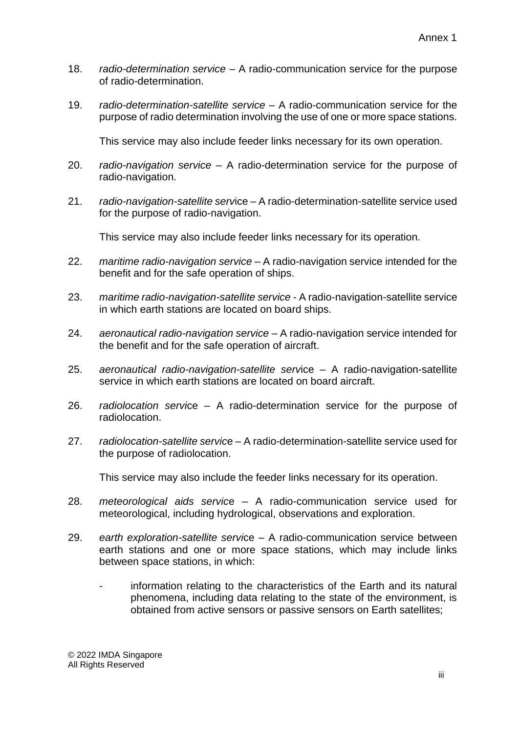- 18. *radio-determination service* A radio-communication service for the purpose of radio-determination.
- 19. *radio-determination-satellite service* A radio-communication service for the purpose of radio determination involving the use of one or more space stations.

This service may also include feeder links necessary for its own operation.

- 20. *radio-navigation service* A radio-determination service for the purpose of radio-navigation.
- 21. *radio-navigation-satellite serv*ice A radio-determination-satellite service used for the purpose of radio-navigation.

This service may also include feeder links necessary for its operation.

- 22. *maritime radio-navigation service*  A radio-navigation service intended for the benefit and for the safe operation of ships.
- 23. *maritime radio-navigation-satellite service*  A radio-navigation-satellite service in which earth stations are located on board ships.
- 24. *aeronautical radio-navigation service* A radio-navigation service intended for the benefit and for the safe operation of aircraft.
- 25. *aeronautical radio-navigation-satellite serv*ice A radio-navigation-satellite service in which earth stations are located on board aircraft.
- 26. *radiolocation servi*ce A radio-determination service for the purpose of radiolocation.
- 27. *radiolocation-satellite servic*e A radio-determination-satellite service used for the purpose of radiolocation.

This service may also include the feeder links necessary for its operation.

- 28. *meteorological aids servic*e A radio-communication service used for meteorological, including hydrological, observations and exploration.
- 29. *earth exploration-satellite servi*ce A radio-communication service between earth stations and one or more space stations, which may include links between space stations, in which:
	- information relating to the characteristics of the Earth and its natural phenomena, including data relating to the state of the environment, is obtained from active sensors or passive sensors on Earth satellites;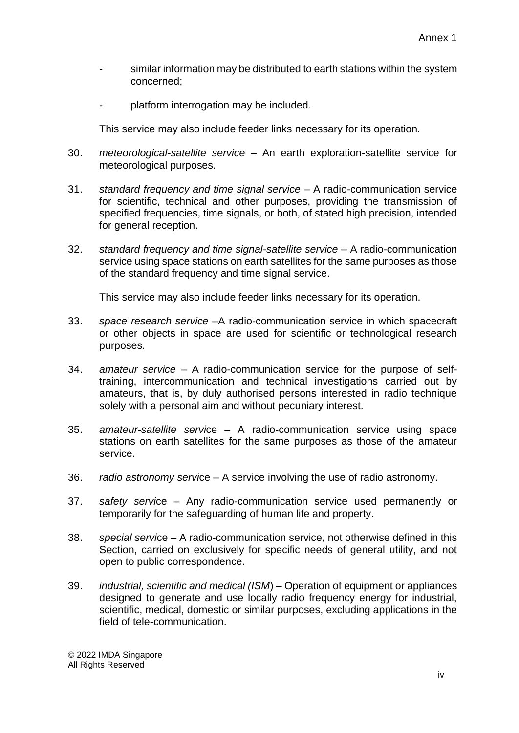- similar information may be distributed to earth stations within the system concerned;
- platform interrogation may be included.

This service may also include feeder links necessary for its operation.

- 30. *meteorological-satellite service* An earth exploration-satellite service for meteorological purposes.
- 31. *standard frequency and time signal service* A radio-communication service for scientific, technical and other purposes, providing the transmission of specified frequencies, time signals, or both, of stated high precision, intended for general reception.
- 32. *standard frequency and time signal-satellite service* A radio-communication service using space stations on earth satellites for the same purposes as those of the standard frequency and time signal service.

This service may also include feeder links necessary for its operation.

- 33. *space research service* –A radio-communication service in which spacecraft or other objects in space are used for scientific or technological research purposes.
- 34. *amateur service* A radio-communication service for the purpose of selftraining, intercommunication and technical investigations carried out by amateurs, that is, by duly authorised persons interested in radio technique solely with a personal aim and without pecuniary interest.
- 35. *amateur-satellite servi*ce A radio-communication service using space stations on earth satellites for the same purposes as those of the amateur service.
- 36. *radio astronomy servi*ce A service involving the use of radio astronomy.
- 37. *safety servi*ce Any radio-communication service used permanently or temporarily for the safeguarding of human life and property.
- 38. *special servi*ce A radio-communication service, not otherwise defined in this Section, carried on exclusively for specific needs of general utility, and not open to public correspondence.
- 39. *industrial, scientific and medical (ISM*) Operation of equipment or appliances designed to generate and use locally radio frequency energy for industrial, scientific, medical, domestic or similar purposes, excluding applications in the field of tele-communication.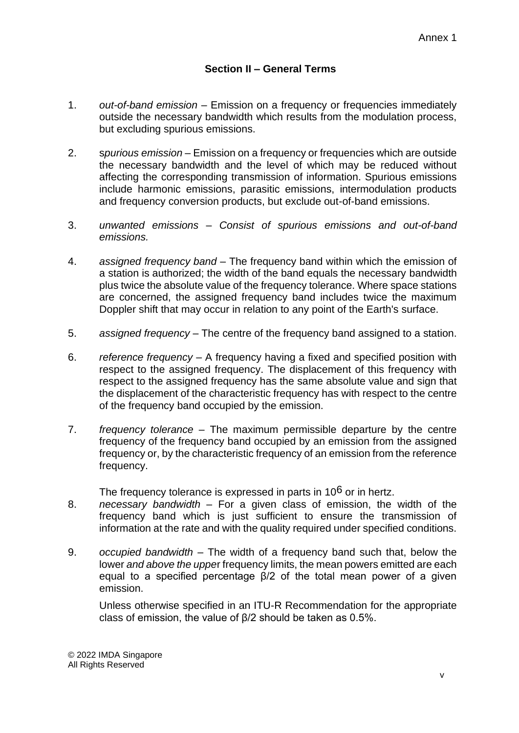# **Section II – General Terms**

- 1. *out-of-band emission* Emission on a frequency or frequencies immediately outside the necessary bandwidth which results from the modulation process, but excluding spurious emissions.
- 2. s*purious emission –* Emission on a frequency or frequencies which are outside the necessary bandwidth and the level of which may be reduced without affecting the corresponding transmission of information. Spurious emissions include harmonic emissions, parasitic emissions, intermodulation products and frequency conversion products, but exclude out-of-band emissions.
- 3. *unwanted emissions Consist of spurious emissions and out-of-band emissions.*
- 4. *assigned frequency band* The frequency band within which the emission of a station is authorized; the width of the band equals the necessary bandwidth plus twice the absolute value of the frequency tolerance. Where space stations are concerned, the assigned frequency band includes twice the maximum Doppler shift that may occur in relation to any point of the Earth's surface.
- 5. *assigned frequency* The centre of the frequency band assigned to a station.
- 6. *reference frequency* A frequency having a fixed and specified position with respect to the assigned frequency. The displacement of this frequency with respect to the assigned frequency has the same absolute value and sign that the displacement of the characteristic frequency has with respect to the centre of the frequency band occupied by the emission.
- 7. *frequency tolerance* The maximum permissible departure by the centre frequency of the frequency band occupied by an emission from the assigned frequency or, by the characteristic frequency of an emission from the reference frequency.

The frequency tolerance is expressed in parts in 10<sup>6</sup> or in hertz.

- 8. *necessary bandwidth* For a given class of emission, the width of the frequency band which is just sufficient to ensure the transmission of information at the rate and with the quality required under specified conditions.
- 9. *occupied bandwidth* The width of a frequency band such that, below the lower *and above the uppe*r frequency limits, the mean powers emitted are each equal to a specified percentage β/2 of the total mean power of a given emission.

Unless otherwise specified in an ITU-R Recommendation for the appropriate class of emission, the value of β/2 should be taken as 0.5%.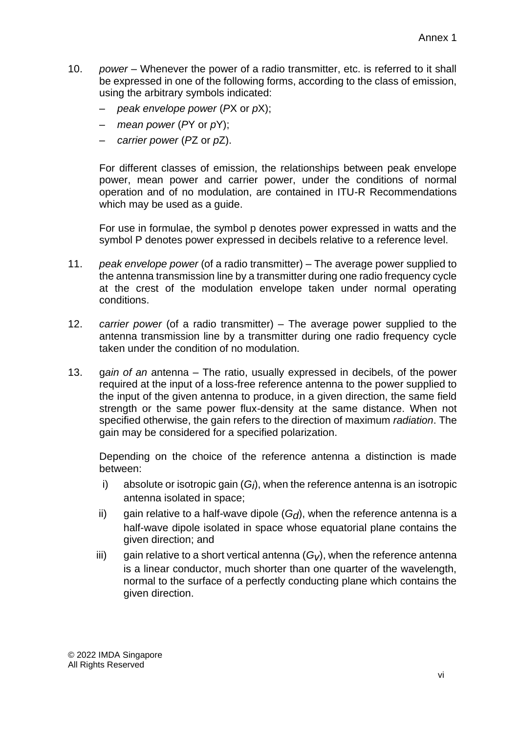- 10. *power* Whenever the power of a radio transmitter, etc. is referred to it shall be expressed in one of the following forms, according to the class of emission, using the arbitrary symbols indicated:
	- *peak envelope power* (*P*X or *p*X);
	- *mean power* (*P*Y or *p*Y);
	- *carrier power* (*P*Z or *p*Z).

For different classes of emission, the relationships between peak envelope power, mean power and carrier power, under the conditions of normal operation and of no modulation, are contained in ITU-R Recommendations which may be used as a guide.

For use in formulae, the symbol p denotes power expressed in watts and the symbol P denotes power expressed in decibels relative to a reference level.

- 11. *peak envelope power* (of a radio transmitter) The average power supplied to the antenna transmission line by a transmitter during one radio frequency cycle at the crest of the modulation envelope taken under normal operating conditions.
- 12. *carrier power* (of a radio transmitter) The average power supplied to the antenna transmission line by a transmitter during one radio frequency cycle taken under the condition of no modulation.
- 13. g*ain of an* antenna The ratio, usually expressed in decibels, of the power required at the input of a loss-free reference antenna to the power supplied to the input of the given antenna to produce, in a given direction, the same field strength or the same power flux-density at the same distance. When not specified otherwise, the gain refers to the direction of maximum *radiation*. The gain may be considered for a specified polarization.

Depending on the choice of the reference antenna a distinction is made between:

- i) absolute or isotropic gain (G<sub>I</sub>), when the reference antenna is an isotropic antenna isolated in space;
- ii) gain relative to a half-wave dipole  $(G_d)$ , when the reference antenna is a half-wave dipole isolated in space whose equatorial plane contains the given direction; and
- iii) gain relative to a short vertical antenna  $(G_V)$ , when the reference antenna is a linear conductor, much shorter than one quarter of the wavelength, normal to the surface of a perfectly conducting plane which contains the given direction.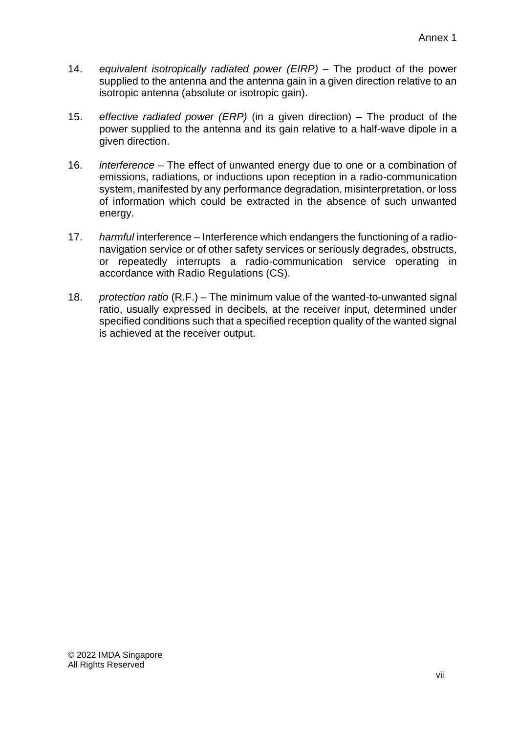- 14. *equivalent isotropically radiated power (EIRP)* The product of the power supplied to the antenna and the antenna gain in a given direction relative to an isotropic antenna (absolute or isotropic gain).
- 15. *effective radiated power (ERP)* (in a given direction) The product of the power supplied to the antenna and its gain relative to a half-wave dipole in a given direction.
- 16. *interference* The effect of unwanted energy due to one or a combination of emissions, radiations, or inductions upon reception in a radio-communication system, manifested by any performance degradation, misinterpretation, or loss of information which could be extracted in the absence of such unwanted energy.
- 17. *harmful* interference Interference which endangers the functioning of a radionavigation service or of other safety services or seriously degrades, obstructs, or repeatedly interrupts a radio-communication service operating in accordance with Radio Regulations (CS).
- 18. *protection ratio* (R.F.) The minimum value of the wanted-to-unwanted signal ratio, usually expressed in decibels, at the receiver input, determined under specified conditions such that a specified reception quality of the wanted signal is achieved at the receiver output.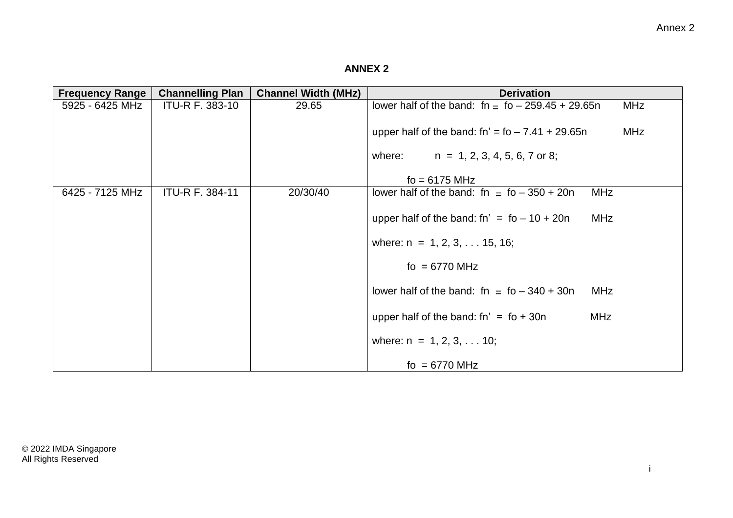# **ANNEX 2**

| <b>Frequency Range</b> | <b>Channelling Plan</b> | <b>Channel Width (MHz)</b> | <b>Derivation</b>                                                 |
|------------------------|-------------------------|----------------------------|-------------------------------------------------------------------|
| 5925 - 6425 MHz        | <b>ITU-R F. 383-10</b>  | 29.65                      | lower half of the band: $fn = fo - 259.45 + 29.65n$<br><b>MHz</b> |
|                        |                         |                            | upper half of the band: $fn' = fo - 7.41 + 29.65n$<br><b>MHz</b>  |
|                        |                         |                            | $n = 1, 2, 3, 4, 5, 6, 7$ or 8;<br>where:                         |
|                        |                         |                            | $fo = 6175 MHz$                                                   |
| 6425 - 7125 MHz        | <b>ITU-R F. 384-11</b>  | 20/30/40                   | lower half of the band: fn $=$ fo $-350 + 20n$<br><b>MHz</b>      |
|                        |                         |                            | upper half of the band: $fn' = fo - 10 + 20n$<br><b>MHz</b>       |
|                        |                         |                            | where: $n = 1, 2, 3, \ldots 15, 16$ ;                             |
|                        |                         |                            | fo = $6770$ MHz                                                   |
|                        |                         |                            | lower half of the band: fn $=$ fo $-340 + 30n$<br><b>MHz</b>      |
|                        |                         |                            | upper half of the band: $fn' = fo + 30n$<br><b>MHz</b>            |
|                        |                         |                            | where: $n = 1, 2, 3, \ldots 10$ ;                                 |
|                        |                         |                            | fo = $6770$ MHz                                                   |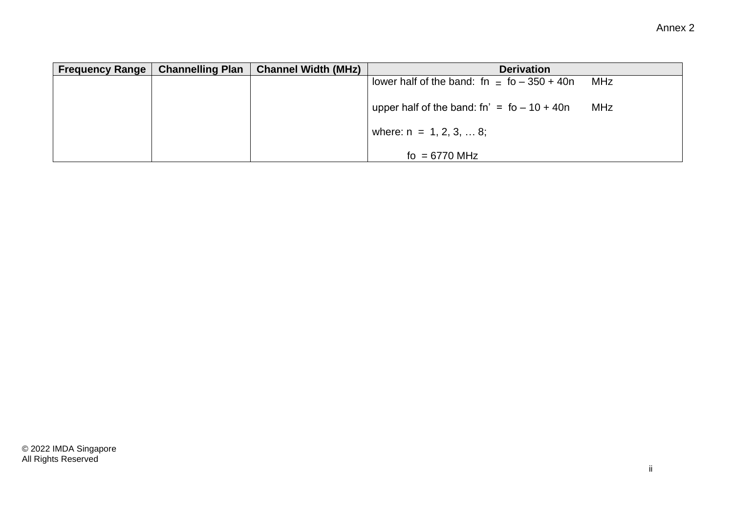| <b>Frequency Range</b> | <b>Channelling Plan</b> | <b>Channel Width (MHz)</b> | <b>Derivation</b>                              |     |
|------------------------|-------------------------|----------------------------|------------------------------------------------|-----|
|                        |                         |                            | lower half of the band: fn $=$ fo $-350 + 40n$ | MHz |
|                        |                         |                            | upper half of the band: $fn' = fo - 10 + 40n$  | MHz |
|                        |                         |                            | where: $n = 1, 2, 3,  8$ ;                     |     |
|                        |                         |                            | fo = $6770$ MHz                                |     |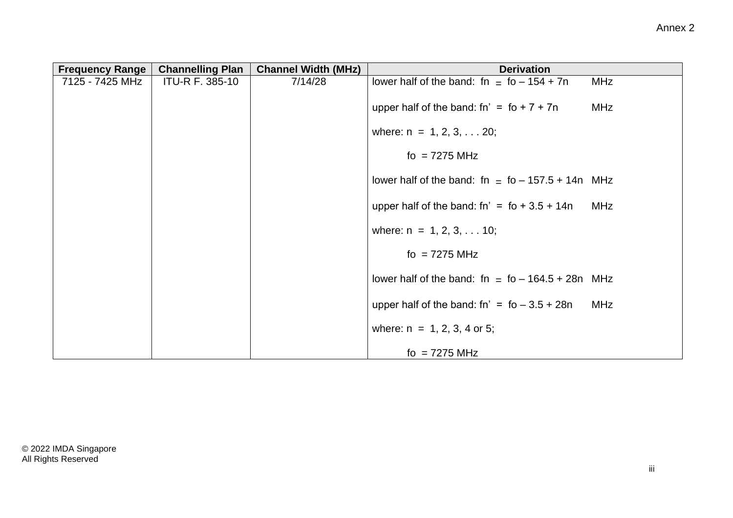| <b>Frequency Range</b> | <b>Channelling Plan</b> | <b>Channel Width (MHz)</b> | <b>Derivation</b>                                                |
|------------------------|-------------------------|----------------------------|------------------------------------------------------------------|
| 7125 - 7425 MHz        | <b>ITU-R F. 385-10</b>  | 7/14/28                    | lower half of the band: fn = $fo - 154 + 7n$<br><b>MHz</b>       |
|                        |                         |                            | upper half of the band: fn' = $\text{fo} + 7 + 7\text{n}$<br>MHz |
|                        |                         |                            | where: $n = 1, 2, 3, \ldots 20$ ;                                |
|                        |                         |                            | fo = $7275$ MHz                                                  |
|                        |                         |                            | lower half of the band: fn $=$ fo $-157.5 + 14n$ MHz             |
|                        |                         |                            | upper half of the band: $fn' = fo + 3.5 + 14n$<br>MHz            |
|                        |                         |                            | where: $n = 1, 2, 3, \ldots 10$ ;                                |
|                        |                         |                            | fo = $7275$ MHz                                                  |
|                        |                         |                            | lower half of the band: fn $=$ fo - 164.5 + 28n MHz              |
|                        |                         |                            | upper half of the band: fn' = $fo - 3.5 + 28n$<br>MHz            |
|                        |                         |                            | where: $n = 1, 2, 3, 4$ or 5;                                    |
|                        |                         |                            | fo = $7275$ MHz                                                  |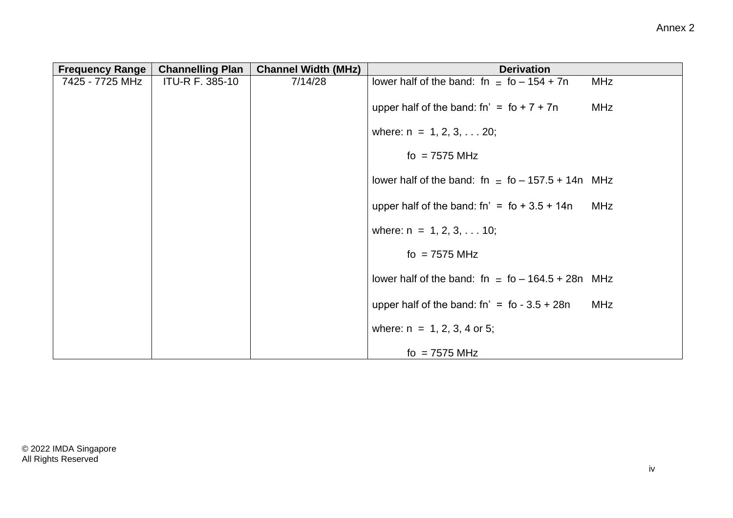| <b>Frequency Range</b> | <b>Channelling Plan</b> | <b>Channel Width (MHz)</b> | <b>Derivation</b>                                         |            |
|------------------------|-------------------------|----------------------------|-----------------------------------------------------------|------------|
| 7425 - 7725 MHz        | <b>ITU-R F. 385-10</b>  | 7/14/28                    | lower half of the band: fn $=$ fo $-154 + 7n$             | <b>MHz</b> |
|                        |                         |                            | upper half of the band: fn' = $\text{fo} + 7 + 7\text{n}$ | <b>MHz</b> |
|                        |                         |                            | where: $n = 1, 2, 3, \ldots 20$ ;                         |            |
|                        |                         |                            | fo = $7575$ MHz                                           |            |
|                        |                         |                            | lower half of the band: fn $=$ fo $-$ 157.5 + 14n MHz     |            |
|                        |                         |                            | upper half of the band: $fn' = fo + 3.5 + 14n$            | MHz        |
|                        |                         |                            | where: $n = 1, 2, 3, \ldots 10$ ;                         |            |
|                        |                         |                            | fo = $7575$ MHz                                           |            |
|                        |                         |                            | lower half of the band: fn $=$ fo - 164.5 + 28n MHz       |            |
|                        |                         |                            | upper half of the band: $fn' = fo - 3.5 + 28n$            | <b>MHz</b> |
|                        |                         |                            | where: $n = 1, 2, 3, 4$ or 5;                             |            |
|                        |                         |                            | fo = $7575$ MHz                                           |            |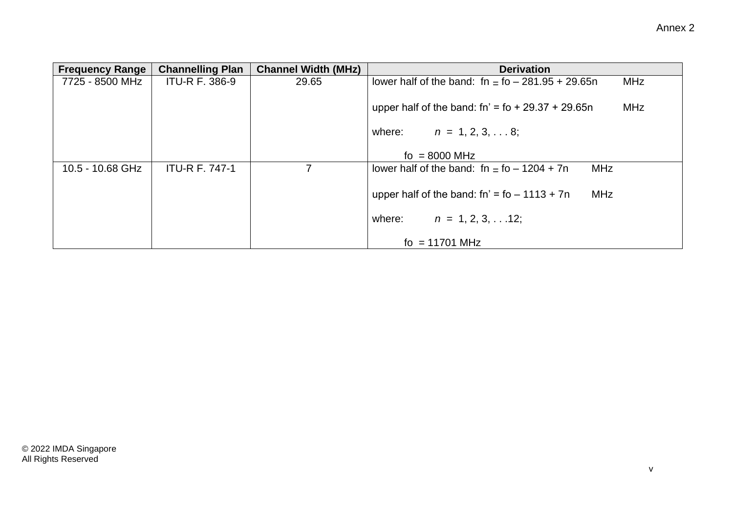| <b>Frequency Range</b> | <b>Channelling Plan</b> | <b>Channel Width (MHz)</b> | <b>Derivation</b>                                                 |
|------------------------|-------------------------|----------------------------|-------------------------------------------------------------------|
| 7725 - 8500 MHz        | <b>ITU-R F. 386-9</b>   | 29.65                      | lower half of the band: $fn = fo - 281.95 + 29.65n$<br><b>MHz</b> |
|                        |                         |                            | upper half of the band: $fn' = fo + 29.37 + 29.65n$<br><b>MHz</b> |
|                        |                         |                            | where:<br>$n = 1, 2, 3, \ldots 8;$                                |
|                        |                         |                            | $\mu$ = 8000 MHz                                                  |
| 10.5 - 10.68 GHz       | <b>ITU-R F. 747-1</b>   | 7                          | lower half of the band: $fn = fo - 1204 + 7n$<br><b>MHz</b>       |
|                        |                         |                            | <b>MHz</b><br>upper half of the band: $fn' = fo - 1113 + 7n$      |
|                        |                         |                            | $n = 1, 2, 3, \ldots 12$ ;<br>where:                              |
|                        |                         |                            | fo = $11701$ MHz                                                  |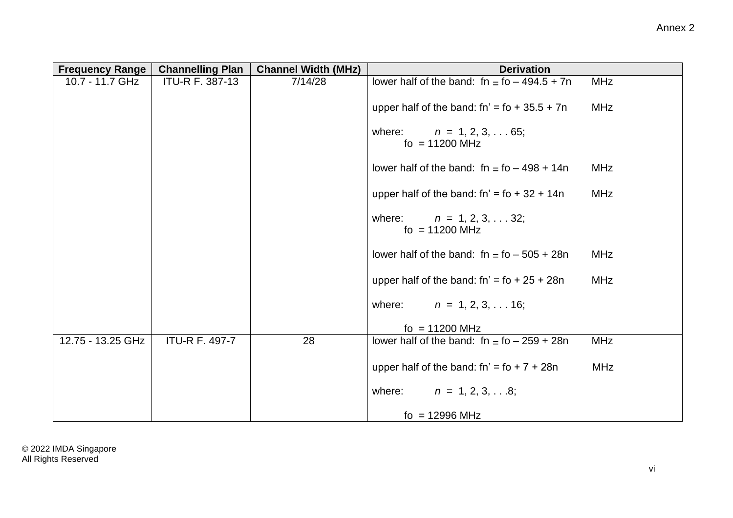| <b>Frequency Range</b> | <b>Channelling Plan</b> | <b>Channel Width (MHz)</b> | <b>Derivation</b>                                        |            |
|------------------------|-------------------------|----------------------------|----------------------------------------------------------|------------|
| 10.7 - 11.7 GHz        | <b>ITU-R F. 387-13</b>  | 7/14/28                    | lower half of the band: $fn = fo - 494.5 + 7n$           | <b>MHz</b> |
|                        |                         |                            | upper half of the band: $fn' = fo + 35.5 + 7n$           | <b>MHz</b> |
|                        |                         |                            | $n = 1, 2, 3, \ldots 65;$<br>where:<br>$\mu$ = 11200 MHz |            |
|                        |                         |                            | lower half of the band: $fn = fo - 498 + 14n$            | <b>MHz</b> |
|                        |                         |                            | upper half of the band: $fn' = fo + 32 + 14n$            | <b>MHz</b> |
|                        |                         |                            | $n = 1, 2, 3, \ldots 32;$<br>where:<br>$\mu$ = 11200 MHz |            |
|                        |                         |                            | lower half of the band: $fn = fo - 505 + 28n$            | <b>MHz</b> |
|                        |                         |                            | upper half of the band: $fn' = fo + 25 + 28n$            | <b>MHz</b> |
|                        |                         |                            | where: $n = 1, 2, 3, \ldots 16;$                         |            |
|                        |                         |                            | $\mu$ = 11200 MHz                                        |            |
| 12.75 - 13.25 GHz      | <b>ITU-R F. 497-7</b>   | 28                         | lower half of the band: $fn = fo - 259 + 28n$            | <b>MHz</b> |
|                        |                         |                            | upper half of the band: $fn' = fo + 7 + 28n$             | <b>MHz</b> |
|                        |                         |                            | $n = 1, 2, 3, \ldots 8;$<br>where:                       |            |
|                        |                         |                            | $\mu$ = 12996 MHz                                        |            |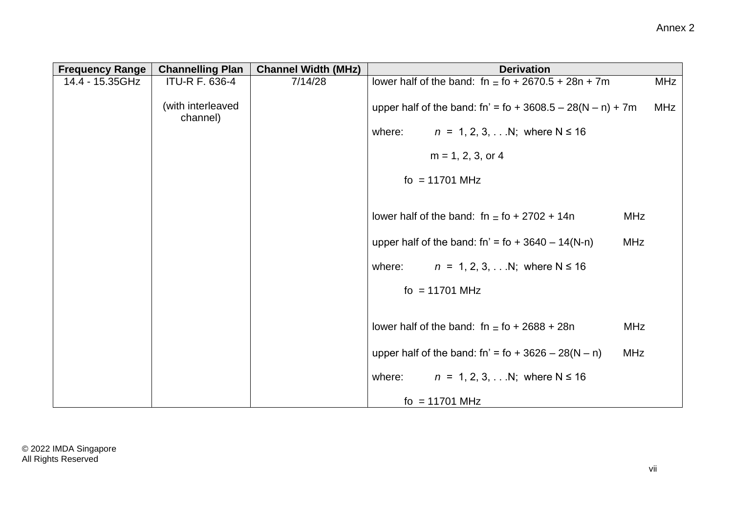| <b>Frequency Range</b> | <b>Channelling Plan</b>       | <b>Channel Width (MHz)</b> | <b>Derivation</b>                                                          |            |
|------------------------|-------------------------------|----------------------------|----------------------------------------------------------------------------|------------|
| 14.4 - 15.35GHz        | <b>ITU-R F. 636-4</b>         | 7/14/28                    | lower half of the band: fn = $\text{fo} + 2670.5 + 28\text{n} + 7\text{m}$ | <b>MHz</b> |
|                        | (with interleaved<br>channel) |                            | upper half of the band: fn' = fo + 3608.5 - 28(N - n) + 7m                 | MHz        |
|                        |                               |                            | $n = 1, 2, 3, $ N; where N $\le 16$<br>where:                              |            |
|                        |                               |                            | $m = 1, 2, 3,$ or 4                                                        |            |
|                        |                               |                            | $fo = 11701 MHz$                                                           |            |
|                        |                               |                            |                                                                            |            |
|                        |                               |                            | lower half of the band: fn $=$ fo + 2702 + 14n<br><b>MHz</b>               |            |
|                        |                               |                            | upper half of the band: fn' = fo + $3640 - 14(N-n)$<br><b>MHz</b>          |            |
|                        |                               |                            | $n = 1, 2, 3, $ N; where N $\le 16$<br>where:                              |            |
|                        |                               |                            | $fo = 11701 MHz$                                                           |            |
|                        |                               |                            |                                                                            |            |
|                        |                               |                            | lower half of the band: fn $=$ fo + 2688 + 28n<br><b>MHz</b>               |            |
|                        |                               |                            | upper half of the band: fn' = fo + $3626 - 28(N - n)$<br><b>MHz</b>        |            |
|                        |                               |                            | $n = 1, 2, 3, $ N; where N $\le 16$<br>where:                              |            |
|                        |                               |                            | $fo = 11701 MHz$                                                           |            |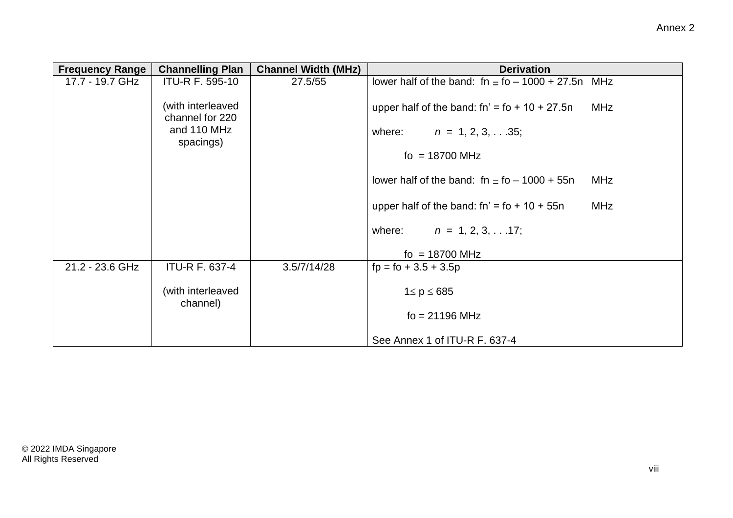| <b>Frequency Range</b> | <b>Channelling Plan</b>              | <b>Channel Width (MHz)</b> | <b>Derivation</b>                                      |
|------------------------|--------------------------------------|----------------------------|--------------------------------------------------------|
| 17.7 - 19.7 GHz        | <b>ITU-R F. 595-10</b>               | 27.5/55                    | lower half of the band: $fn = fo - 1000 + 27.5n$ MHz   |
|                        | (with interleaved<br>channel for 220 |                            | upper half of the band: $fn' = fo + 10 + 27.5n$<br>MHz |
|                        | and 110 MHz<br>spacings)             |                            | where: $n = 1, 2, 3, \ldots 35$ ;                      |
|                        |                                      |                            | fo = $18700$ MHz                                       |
|                        |                                      |                            | lower half of the band: $fn = fo - 1000 + 55n$<br>MHz  |
|                        |                                      |                            | MHz<br>upper half of the band: fn' = $f$ o + 10 + 55n  |
|                        |                                      |                            | where: $n = 1, 2, 3, \ldots 17$ ;                      |
|                        |                                      |                            | fo = $18700$ MHz                                       |
| 21.2 - 23.6 GHz        | <b>ITU-R F. 637-4</b>                | 3.5/7/14/28                | $fp = fo + 3.5 + 3.5p$                                 |
|                        | (with interleaved<br>channel)        |                            | $1 \le p \le 685$                                      |
|                        |                                      |                            | $fo = 21196 MHz$                                       |
|                        |                                      |                            | See Annex 1 of ITU-R F. 637-4                          |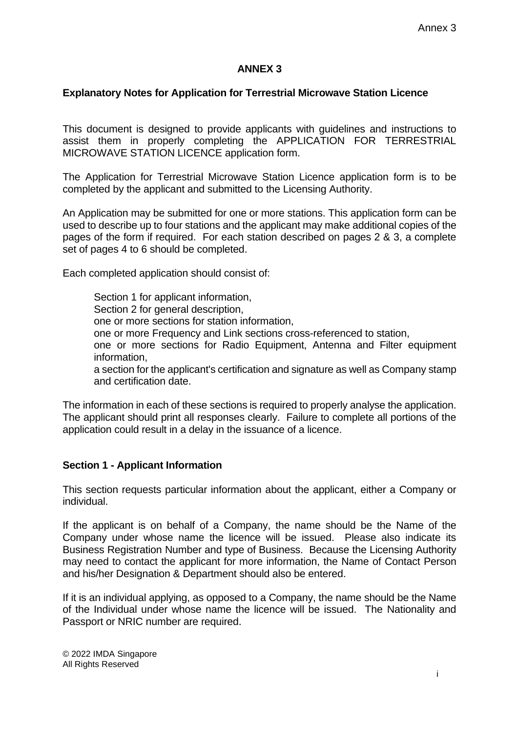### **ANNEX 3**

### **Explanatory Notes for Application for Terrestrial Microwave Station Licence**

This document is designed to provide applicants with guidelines and instructions to assist them in properly completing the APPLICATION FOR TERRESTRIAL MICROWAVE STATION LICENCE application form.

The Application for Terrestrial Microwave Station Licence application form is to be completed by the applicant and submitted to the Licensing Authority.

An Application may be submitted for one or more stations. This application form can be used to describe up to four stations and the applicant may make additional copies of the pages of the form if required. For each station described on pages 2 & 3, a complete set of pages 4 to 6 should be completed.

Each completed application should consist of:

Section 1 for applicant information, Section 2 for general description, one or more sections for station information, one or more Frequency and Link sections cross-referenced to station, one or more sections for Radio Equipment, Antenna and Filter equipment information, a section for the applicant's certification and signature as well as Company stamp and certification date.

The information in each of these sections is required to properly analyse the application. The applicant should print all responses clearly. Failure to complete all portions of the application could result in a delay in the issuance of a licence.

### **Section 1 - Applicant Information**

This section requests particular information about the applicant, either a Company or individual.

If the applicant is on behalf of a Company, the name should be the Name of the Company under whose name the licence will be issued. Please also indicate its Business Registration Number and type of Business. Because the Licensing Authority may need to contact the applicant for more information, the Name of Contact Person and his/her Designation & Department should also be entered.

If it is an individual applying, as opposed to a Company, the name should be the Name of the Individual under whose name the licence will be issued. The Nationality and Passport or NRIC number are required.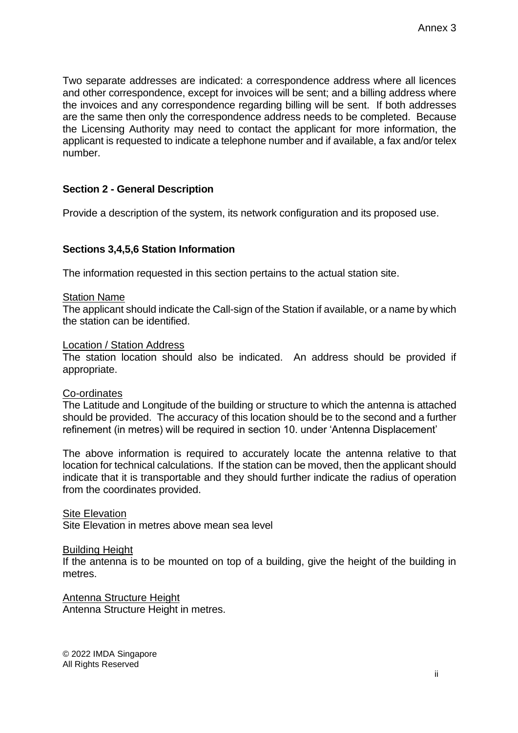Two separate addresses are indicated: a correspondence address where all licences and other correspondence, except for invoices will be sent; and a billing address where the invoices and any correspondence regarding billing will be sent. If both addresses are the same then only the correspondence address needs to be completed. Because the Licensing Authority may need to contact the applicant for more information, the applicant is requested to indicate a telephone number and if available, a fax and/or telex number.

# **Section 2 - General Description**

Provide a description of the system, its network configuration and its proposed use.

### **Sections 3,4,5,6 Station Information**

The information requested in this section pertains to the actual station site.

### **Station Name**

The applicant should indicate the Call-sign of the Station if available, or a name by which the station can be identified.

#### Location / Station Address

The station location should also be indicated. An address should be provided if appropriate.

#### Co-ordinates

The Latitude and Longitude of the building or structure to which the antenna is attached should be provided. The accuracy of this location should be to the second and a further refinement (in metres) will be required in section 10. under 'Antenna Displacement'

The above information is required to accurately locate the antenna relative to that location for technical calculations. If the station can be moved, then the applicant should indicate that it is transportable and they should further indicate the radius of operation from the coordinates provided.

**Site Elevation** Site Elevation in metres above mean sea level

#### Building Height

If the antenna is to be mounted on top of a building, give the height of the building in metres.

Antenna Structure Height Antenna Structure Height in metres.

© 2022 IMDA Singapore All Rights Reserved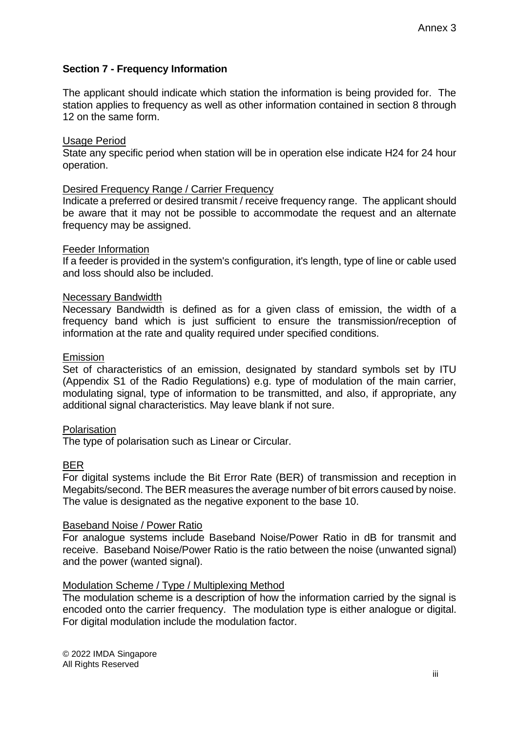## **Section 7 - Frequency Information**

The applicant should indicate which station the information is being provided for. The station applies to frequency as well as other information contained in section 8 through 12 on the same form.

#### Usage Period

State any specific period when station will be in operation else indicate H24 for 24 hour operation.

#### Desired Frequency Range / Carrier Frequency

Indicate a preferred or desired transmit / receive frequency range. The applicant should be aware that it may not be possible to accommodate the request and an alternate frequency may be assigned.

#### Feeder Information

If a feeder is provided in the system's configuration, it's length, type of line or cable used and loss should also be included.

#### Necessary Bandwidth

Necessary Bandwidth is defined as for a given class of emission, the width of a frequency band which is just sufficient to ensure the transmission/reception of information at the rate and quality required under specified conditions.

#### Emission

Set of characteristics of an emission, designated by standard symbols set by ITU (Appendix S1 of the Radio Regulations) e.g. type of modulation of the main carrier, modulating signal, type of information to be transmitted, and also, if appropriate, any additional signal characteristics. May leave blank if not sure.

#### **Polarisation**

The type of polarisation such as Linear or Circular.

#### BER

For digital systems include the Bit Error Rate (BER) of transmission and reception in Megabits/second. The BER measures the average number of bit errors caused by noise. The value is designated as the negative exponent to the base 10.

#### **Baseband Noise / Power Ratio**

For analogue systems include Baseband Noise/Power Ratio in dB for transmit and receive. Baseband Noise/Power Ratio is the ratio between the noise (unwanted signal) and the power (wanted signal).

#### Modulation Scheme / Type / Multiplexing Method

The modulation scheme is a description of how the information carried by the signal is encoded onto the carrier frequency. The modulation type is either analogue or digital. For digital modulation include the modulation factor.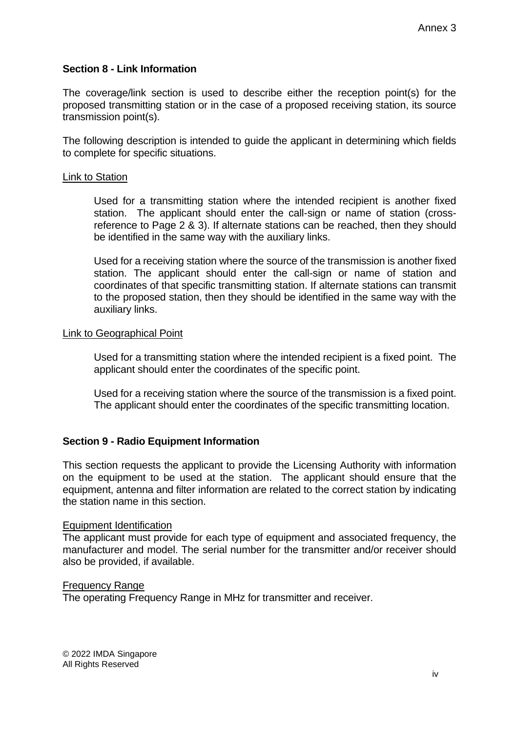### **Section 8 - Link Information**

The coverage/link section is used to describe either the reception point(s) for the proposed transmitting station or in the case of a proposed receiving station, its source transmission point(s).

The following description is intended to guide the applicant in determining which fields to complete for specific situations.

#### Link to Station

Used for a transmitting station where the intended recipient is another fixed station. The applicant should enter the call-sign or name of station (crossreference to Page 2 & 3). If alternate stations can be reached, then they should be identified in the same way with the auxiliary links.

Used for a receiving station where the source of the transmission is another fixed station. The applicant should enter the call-sign or name of station and coordinates of that specific transmitting station. If alternate stations can transmit to the proposed station, then they should be identified in the same way with the auxiliary links.

#### Link to Geographical Point

Used for a transmitting station where the intended recipient is a fixed point. The applicant should enter the coordinates of the specific point.

Used for a receiving station where the source of the transmission is a fixed point. The applicant should enter the coordinates of the specific transmitting location.

### **Section 9 - Radio Equipment Information**

This section requests the applicant to provide the Licensing Authority with information on the equipment to be used at the station. The applicant should ensure that the equipment, antenna and filter information are related to the correct station by indicating the station name in this section.

#### Equipment Identification

The applicant must provide for each type of equipment and associated frequency, the manufacturer and model. The serial number for the transmitter and/or receiver should also be provided, if available.

#### Frequency Range

The operating Frequency Range in MHz for transmitter and receiver.

© 2022 IMDA Singapore All Rights Reserved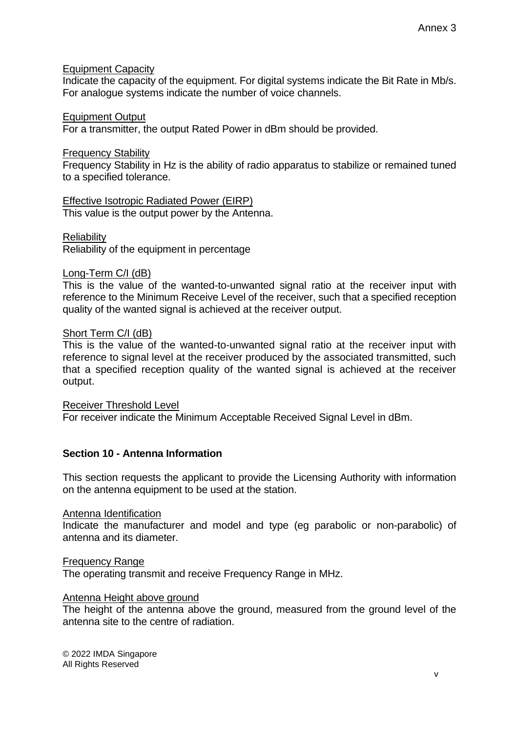### Equipment Capacity

Indicate the capacity of the equipment. For digital systems indicate the Bit Rate in Mb/s. For analogue systems indicate the number of voice channels.

#### Equipment Output

For a transmitter, the output Rated Power in dBm should be provided.

#### Frequency Stability

Frequency Stability in Hz is the ability of radio apparatus to stabilize or remained tuned to a specified tolerance.

Effective Isotropic Radiated Power (EIRP) This value is the output power by the Antenna.

**Reliability** 

Reliability of the equipment in percentage

#### Long-Term C/I (dB)

This is the value of the wanted-to-unwanted signal ratio at the receiver input with reference to the Minimum Receive Level of the receiver, such that a specified reception quality of the wanted signal is achieved at the receiver output.

#### Short Term C/I (dB)

This is the value of the wanted-to-unwanted signal ratio at the receiver input with reference to signal level at the receiver produced by the associated transmitted, such that a specified reception quality of the wanted signal is achieved at the receiver output.

Receiver Threshold Level For receiver indicate the Minimum Acceptable Received Signal Level in dBm.

### **Section 10 - Antenna Information**

This section requests the applicant to provide the Licensing Authority with information on the antenna equipment to be used at the station.

Antenna Identification

Indicate the manufacturer and model and type (eg parabolic or non-parabolic) of antenna and its diameter.

Frequency Range

The operating transmit and receive Frequency Range in MHz.

### Antenna Height above ground

The height of the antenna above the ground, measured from the ground level of the antenna site to the centre of radiation.

© 2022 IMDA Singapore All Rights Reserved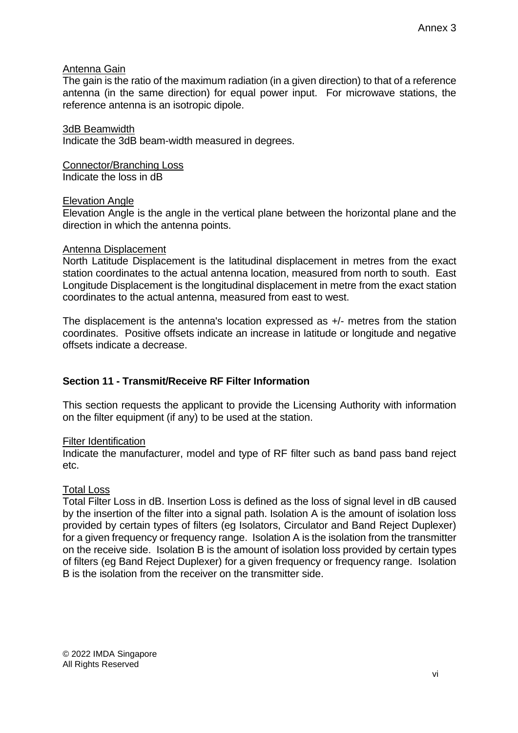### Antenna Gain

The gain is the ratio of the maximum radiation (in a given direction) to that of a reference antenna (in the same direction) for equal power input. For microwave stations, the reference antenna is an isotropic dipole.

3dB Beamwidth Indicate the 3dB beam-width measured in degrees.

Connector/Branching Loss Indicate the loss in dB

### Elevation Angle

Elevation Angle is the angle in the vertical plane between the horizontal plane and the direction in which the antenna points.

#### Antenna Displacement

North Latitude Displacement is the latitudinal displacement in metres from the exact station coordinates to the actual antenna location, measured from north to south. East Longitude Displacement is the longitudinal displacement in metre from the exact station coordinates to the actual antenna, measured from east to west.

The displacement is the antenna's location expressed as +/- metres from the station coordinates. Positive offsets indicate an increase in latitude or longitude and negative offsets indicate a decrease.

# **Section 11 - Transmit/Receive RF Filter Information**

This section requests the applicant to provide the Licensing Authority with information on the filter equipment (if any) to be used at the station.

### Filter Identification

Indicate the manufacturer, model and type of RF filter such as band pass band reject etc.

### Total Loss

Total Filter Loss in dB. Insertion Loss is defined as the loss of signal level in dB caused by the insertion of the filter into a signal path. Isolation A is the amount of isolation loss provided by certain types of filters (eg Isolators, Circulator and Band Reject Duplexer) for a given frequency or frequency range. Isolation A is the isolation from the transmitter on the receive side. Isolation B is the amount of isolation loss provided by certain types of filters (eg Band Reject Duplexer) for a given frequency or frequency range. Isolation B is the isolation from the receiver on the transmitter side.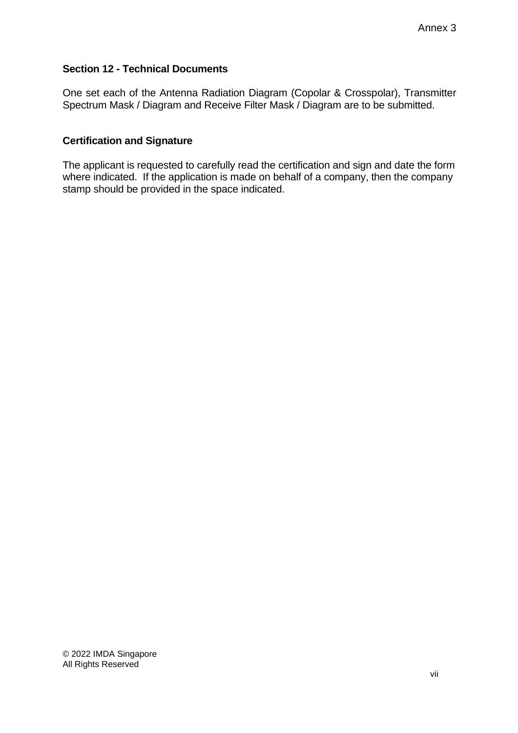# **Section 12 - Technical Documents**

One set each of the Antenna Radiation Diagram (Copolar & Crosspolar), Transmitter Spectrum Mask / Diagram and Receive Filter Mask / Diagram are to be submitted.

# **Certification and Signature**

The applicant is requested to carefully read the certification and sign and date the form where indicated. If the application is made on behalf of a company, then the company stamp should be provided in the space indicated.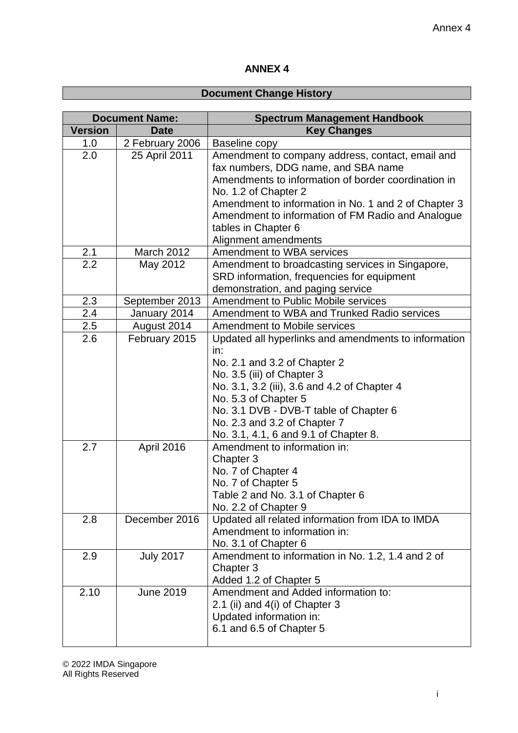# **ANNEX 4**

# **Document Change History**

| <b>Document Name:</b> |                  | <b>Spectrum Management Handbook</b>                                                                                                                                                                                                                                                                                                                   |
|-----------------------|------------------|-------------------------------------------------------------------------------------------------------------------------------------------------------------------------------------------------------------------------------------------------------------------------------------------------------------------------------------------------------|
| <b>Version</b>        | <b>Date</b>      | <b>Key Changes</b>                                                                                                                                                                                                                                                                                                                                    |
| 1.0                   | 2 February 2006  | Baseline copy                                                                                                                                                                                                                                                                                                                                         |
| 2.0                   | 25 April 2011    | Amendment to company address, contact, email and<br>fax numbers, DDG name, and SBA name<br>Amendments to information of border coordination in<br>No. 1.2 of Chapter 2<br>Amendment to information in No. 1 and 2 of Chapter 3                                                                                                                        |
|                       |                  | Amendment to information of FM Radio and Analogue<br>tables in Chapter 6<br>Alignment amendments                                                                                                                                                                                                                                                      |
| 2.1                   | March 2012       | Amendment to WBA services                                                                                                                                                                                                                                                                                                                             |
| 2.2                   | May 2012         | Amendment to broadcasting services in Singapore,<br>SRD information, frequencies for equipment<br>demonstration, and paging service                                                                                                                                                                                                                   |
| 2.3                   | September 2013   | <b>Amendment to Public Mobile services</b>                                                                                                                                                                                                                                                                                                            |
| 2.4                   | January 2014     | Amendment to WBA and Trunked Radio services                                                                                                                                                                                                                                                                                                           |
| 2.5                   | August 2014      | <b>Amendment to Mobile services</b>                                                                                                                                                                                                                                                                                                                   |
| 2.6                   | February 2015    | Updated all hyperlinks and amendments to information                                                                                                                                                                                                                                                                                                  |
| 2.7                   | April 2016       | in:<br>No. 2.1 and 3.2 of Chapter 2<br>No. 3.5 (iii) of Chapter 3<br>No. 3.1, 3.2 (iii), 3.6 and 4.2 of Chapter 4<br>No. 5.3 of Chapter 5<br>No. 3.1 DVB - DVB-T table of Chapter 6<br>No. 2.3 and 3.2 of Chapter 7<br>No. 3.1, 4.1, 6 and 9.1 of Chapter 8.<br>Amendment to information in:<br>Chapter 3<br>No. 7 of Chapter 4<br>No. 7 of Chapter 5 |
|                       |                  | Table 2 and No. 3.1 of Chapter 6                                                                                                                                                                                                                                                                                                                      |
| 2.8                   | December 2016    | No. 2.2 of Chapter 9<br>Updated all related information from IDA to IMDA<br>Amendment to information in:<br>No. 3.1 of Chapter 6                                                                                                                                                                                                                      |
| 2.9                   | <b>July 2017</b> | Amendment to information in No. 1.2, 1.4 and 2 of<br>Chapter 3<br>Added 1.2 of Chapter 5                                                                                                                                                                                                                                                              |
| 2.10                  | <b>June 2019</b> | Amendment and Added information to:<br>2.1 (ii) and 4(i) of Chapter 3<br>Updated information in:<br>6.1 and 6.5 of Chapter 5                                                                                                                                                                                                                          |